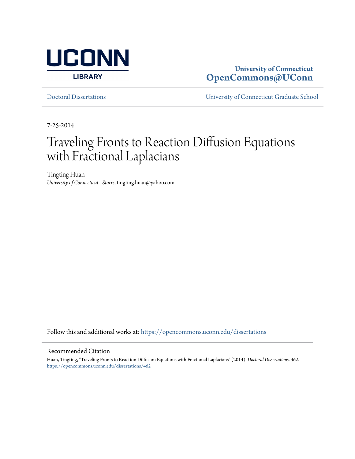

### **University of Connecticut [OpenCommons@UConn](https://opencommons.uconn.edu?utm_source=opencommons.uconn.edu%2Fdissertations%2F462&utm_medium=PDF&utm_campaign=PDFCoverPages)**

[Doctoral Dissertations](https://opencommons.uconn.edu/dissertations?utm_source=opencommons.uconn.edu%2Fdissertations%2F462&utm_medium=PDF&utm_campaign=PDFCoverPages) [University of Connecticut Graduate School](https://opencommons.uconn.edu/gs?utm_source=opencommons.uconn.edu%2Fdissertations%2F462&utm_medium=PDF&utm_campaign=PDFCoverPages)

7-25-2014

## Traveling Fronts to Reaction Diffusion Equations with Fractional Laplacians

Tingting Huan *University of Connecticut - Storrs*, tingting.huan@yahoo.com

Follow this and additional works at: [https://opencommons.uconn.edu/dissertations](https://opencommons.uconn.edu/dissertations?utm_source=opencommons.uconn.edu%2Fdissertations%2F462&utm_medium=PDF&utm_campaign=PDFCoverPages)

#### Recommended Citation

Huan, Tingting, "Traveling Fronts to Reaction Diffusion Equations with Fractional Laplacians" (2014). *Doctoral Dissertations*. 462. [https://opencommons.uconn.edu/dissertations/462](https://opencommons.uconn.edu/dissertations/462?utm_source=opencommons.uconn.edu%2Fdissertations%2F462&utm_medium=PDF&utm_campaign=PDFCoverPages)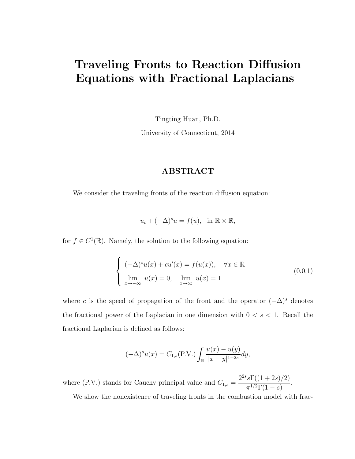### Traveling Fronts to Reaction Diffusion Equations with Fractional Laplacians

Tingting Huan, Ph.D.

University of Connecticut, 2014

#### ABSTRACT

We consider the traveling fronts of the reaction diffusion equation:

 $u_t + (-\Delta)^s u = f(u), \text{ in } \mathbb{R} \times \mathbb{R},$ 

for  $f \in C^1(\mathbb{R})$ . Namely, the solution to the following equation:

$$
\begin{cases}\n(-\Delta)^s u(x) + c u'(x) = f(u(x)), & \forall x \in \mathbb{R} \\
\lim_{x \to -\infty} u(x) = 0, & \lim_{x \to \infty} u(x) = 1\n\end{cases}
$$
\n(0.0.1)

where c is the speed of propagation of the front and the operator  $(-\Delta)^s$  denotes the fractional power of the Laplacian in one dimension with  $0 < s < 1$ . Recall the fractional Laplacian is defined as follows:

$$
(-\Delta)^{s} u(x) = C_{1,s}(\text{P.V.}) \int_{\mathbb{R}} \frac{u(x) - u(y)}{|x - y|^{1 + 2s}} dy,
$$

where (P.V.) stands for Cauchy principal value and  $C_{1,s} =$  $2^{2s} s \Gamma((1+2s)/2)$  $\frac{\frac{51}{(1+2\sigma)/2}}{\pi^{1/2}\Gamma(1-s)}.$ 

We show the nonexistence of traveling fronts in the combustion model with frac-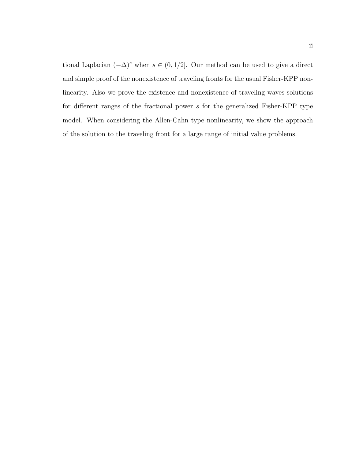tional Laplacian  $(-\Delta)^s$  when  $s \in (0, 1/2]$ . Our method can be used to give a direct and simple proof of the nonexistence of traveling fronts for the usual Fisher-KPP nonlinearity. Also we prove the existence and nonexistence of traveling waves solutions for different ranges of the fractional power s for the generalized Fisher-KPP type model. When considering the Allen-Cahn type nonlinearity, we show the approach of the solution to the traveling front for a large range of initial value problems.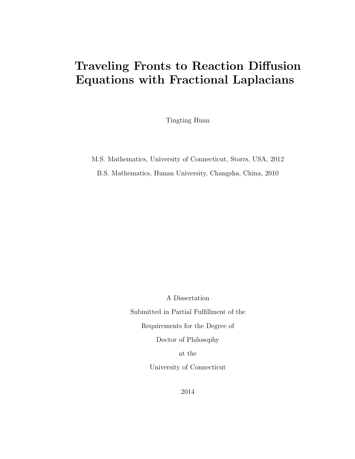## Traveling Fronts to Reaction Diffusion Equations with Fractional Laplacians

Tingting Huan

M.S. Mathematics, University of Connecticut, Storrs, USA, 2012 B.S. Mathematics, Hunan University, Changsha, China, 2010

A Dissertation

Submitted in Partial Fulfillment of the

Requirements for the Degree of

Doctor of Philosophy

at the

University of Connecticut

2014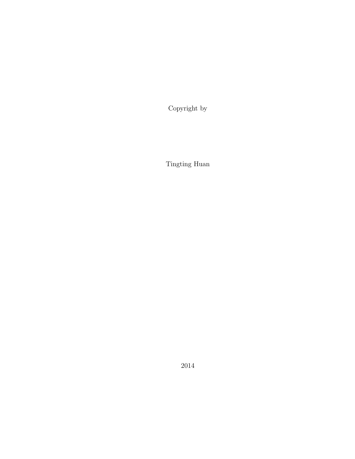Copyright by

Tingting Huan

2014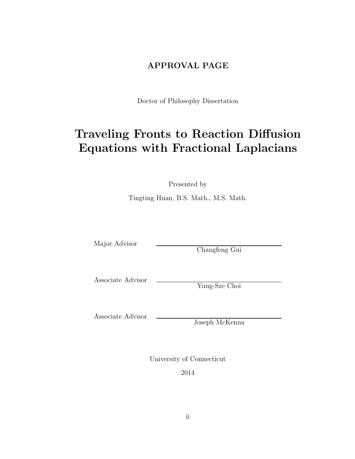### APPROVAL PAGE

Doctor of Philosophy Dissertation

## Traveling Fronts to Reaction Diffusion Equations with Fractional Laplacians

Presented by

Tingting Huan, B.S. Math., M.S. Math.

Major Advisor

Changfeng Gui

Associate Advisor

Yung-Sze Choi

Associate Advisor

Joseph McKenna

University of Connecticut

2014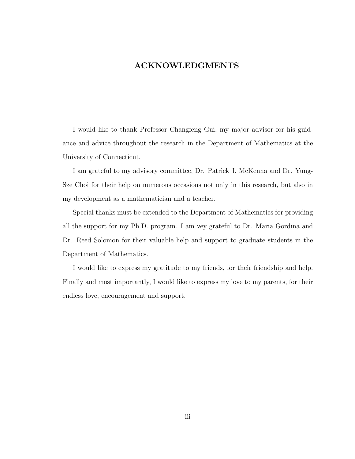#### ACKNOWLEDGMENTS

I would like to thank Professor Changfeng Gui, my major advisor for his guidance and advice throughout the research in the Department of Mathematics at the University of Connecticut.

I am grateful to my advisory committee, Dr. Patrick J. McKenna and Dr. Yung-Sze Choi for their help on numerous occasions not only in this research, but also in my development as a mathematician and a teacher.

Special thanks must be extended to the Department of Mathematics for providing all the support for my Ph.D. program. I am vey grateful to Dr. Maria Gordina and Dr. Reed Solomon for their valuable help and support to graduate students in the Department of Mathematics.

I would like to express my gratitude to my friends, for their friendship and help. Finally and most importantly, I would like to express my love to my parents, for their endless love, encouragement and support.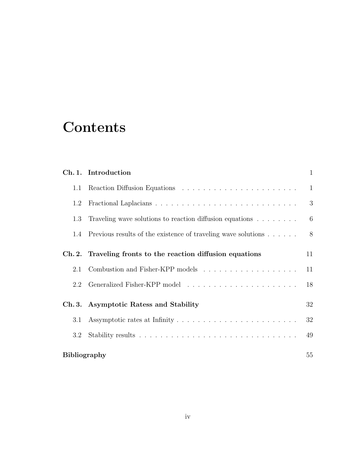## **Contents**

|                     | Ch. 1. Introduction                                                             | $\mathbf{1}$ |
|---------------------|---------------------------------------------------------------------------------|--------------|
| 1.1                 |                                                                                 | $\mathbf{1}$ |
| 1.2                 |                                                                                 | 3            |
| 1.3                 | Traveling wave solutions to reaction diffusion equations $\ldots \ldots \ldots$ | 6            |
|                     | 1.4 Previous results of the existence of traveling wave solutions               | - 8          |
|                     | Ch. 2. Traveling fronts to the reaction diffusion equations                     | 11           |
| 2.1                 |                                                                                 | 11           |
| 2.2                 |                                                                                 | 18           |
|                     | Ch. 3. Asymptotic Ratess and Stability                                          | 32           |
| 3.1                 |                                                                                 | 32           |
| $3.2\,$             |                                                                                 | 49           |
| <b>Bibliography</b> |                                                                                 | 55           |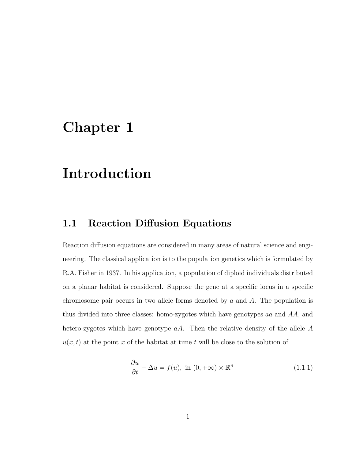## Chapter 1

## Introduction

### 1.1 Reaction Diffusion Equations

Reaction diffusion equations are considered in many areas of natural science and engineering. The classical application is to the population genetics which is formulated by R.A. Fisher in 1937. In his application, a population of diploid individuals distributed on a planar habitat is considered. Suppose the gene at a specific locus in a specific chromosome pair occurs in two allele forms denoted by  $a$  and  $A$ . The population is thus divided into three classes: homo-zygotes which have genotypes aa and AA, and hetero-zygotes which have genotype  $aA$ . Then the relative density of the allele A  $u(x, t)$  at the point x of the habitat at time t will be close to the solution of

$$
\frac{\partial u}{\partial t} - \Delta u = f(u), \text{ in } (0, +\infty) \times \mathbb{R}^n \tag{1.1.1}
$$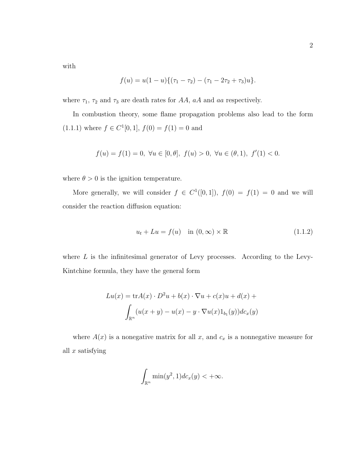with

$$
f(u) = u(1-u)\{(\tau_1 - \tau_2) - (\tau_1 - 2\tau_2 + \tau_3)u\}.
$$

where  $\tau_1$ ,  $\tau_2$  and  $\tau_3$  are death rates for AA, aA and aa respectively.

In combustion theory, some flame propagation problems also lead to the form  $(1.1.1)$  where  $f \in C^{1}[0, 1], f(0) = f(1) = 0$  and

$$
f(u) = f(1) = 0, \ \forall u \in [0, \theta], \ f(u) > 0, \ \forall u \in (\theta, 1), \ f'(1) < 0.
$$

where  $\theta > 0$  is the ignition temperature.

More generally, we will consider  $f \in C^1([0,1])$ ,  $f(0) = f(1) = 0$  and we will consider the reaction diffusion equation:

$$
u_t + Lu = f(u) \quad \text{in } (0, \infty) \times \mathbb{R} \tag{1.1.2}
$$

where  $L$  is the infinitesimal generator of Levy processes. According to the Levy-Kintchine formula, they have the general form

$$
Lu(x) = \text{tr}A(x) \cdot D^2u + b(x) \cdot \nabla u + c(x)u + d(x) +
$$

$$
\int_{\mathbb{R}^n} (u(x+y) - u(x) - y \cdot \nabla u(x)1_{b_1}(y))dc_x(y)
$$

where  $A(x)$  is a nonegative matrix for all x, and  $c_x$  is a nonnegative measure for all  $x$  satisfying

$$
\int_{\mathbb{R}^n} \min(y^2, 1) dc_x(y) < +\infty.
$$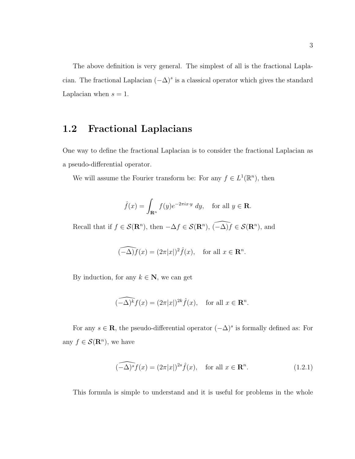The above definition is very general. The simplest of all is the fractional Laplacian. The fractional Laplacian  $(-\Delta)^s$  is a classical operator which gives the standard Laplacian when  $s = 1$ .

### 1.2 Fractional Laplacians

One way to define the fractional Laplacian is to consider the fractional Laplacian as a pseudo-differential operator.

We will assume the Fourier transform be: For any  $f \in L^1(\mathbb{R}^n)$ , then

$$
\hat{f}(x) = \int_{\mathbf{R}^n} f(y)e^{-2\pi ix \cdot y} dy, \text{ for all } y \in \mathbf{R}.
$$

Recall that if  $f \in \mathcal{S}(\mathbf{R}^n)$ , then  $-\Delta f \in \mathcal{S}(\mathbf{R}^n)$ ,  $\widehat{(-\Delta)f} \in \mathcal{S}(\mathbf{R}^n)$ , and

$$
\widehat{(-\Delta)f}(x) = (2\pi|x|)^2 \widehat{f}(x), \quad \text{for all } x \in \mathbf{R}^n.
$$

By induction, for any  $k \in \mathbb{N}$ , we can get

$$
\widehat{(-\Delta)^k f(x)} = (2\pi |x|)^{2k} \widehat{f}(x), \quad \text{for all } x \in \mathbf{R}^n.
$$

For any  $s \in \mathbf{R}$ , the pseudo-differential operator  $(-\Delta)^s$  is formally defined as: For any  $f \in \mathcal{S}(\mathbf{R}^n)$ , we have

$$
\widehat{(-\Delta)^s} f(x) = (2\pi |x|)^{2s} \widehat{f}(x), \quad \text{for all } x \in \mathbf{R}^n. \tag{1.2.1}
$$

This formula is simple to understand and it is useful for problems in the whole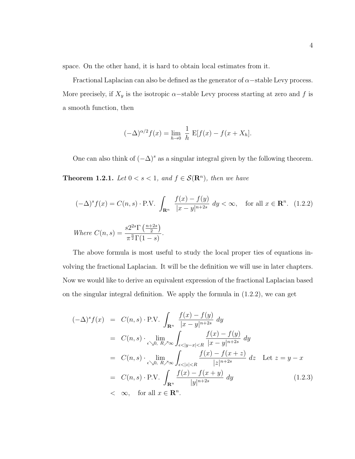space. On the other hand, it is hard to obtain local estimates from it.

Fractional Laplacian can also be defined as the generator of  $\alpha$  –stable Levy process. More precisely, if  $X_y$  is the isotropic  $\alpha$ -stable Levy process starting at zero and f is a smooth function, then

$$
(-\Delta)^{\alpha/2} f(x) = \lim_{h \to 0} \frac{1}{h} E[f(x) - f(x + X_h].
$$

One can also think of  $(-\Delta)^s$  as a singular integral given by the following theorem. **Theorem 1.2.1.** Let  $0 < s < 1$ , and  $f \in \mathcal{S}(\mathbb{R}^n)$ , then we have

$$
(-\Delta)^s f(x) = C(n, s) \cdot \text{P.V.} \int_{\mathbf{R}^n} \frac{f(x) - f(y)}{|x - y|^{n+2s}} dy < \infty, \quad \text{for all } x \in \mathbf{R}^n. \tag{1.2.2}
$$
  
Where  $C(n, s) = \frac{s2^{2s} \Gamma\left(\frac{n+2s}{2}\right)}{\pi^{\frac{n}{2}} \Gamma(1 - s)}.$ 

The above formula is most useful to study the local proper ties of equations involving the fractional Laplacian. It will be the definition we will use in later chapters. Now we would like to derive an equivalent expression of the fractional Laplacian based on the singular integral definition. We apply the formula in  $(1.2.2)$ , we can get

$$
(-\Delta)^s f(x) = C(n, s) \cdot P.V. \int_{\mathbf{R}^n} \frac{f(x) - f(y)}{|x - y|^{n+2s}} dy
$$
  
\n
$$
= C(n, s) \cdot \lim_{\epsilon \searrow 0, R \nearrow \infty} \int_{\epsilon < |y - x| < R} \frac{f(x) - f(y)}{|x - y|^{n+2s}} dy
$$
  
\n
$$
= C(n, s) \cdot \lim_{\epsilon \searrow 0, R \nearrow \infty} \int_{\epsilon < |z| < R} \frac{f(x) - f(x + z)}{|z|^{n+2s}} dz \text{ Let } z = y - x
$$
  
\n
$$
= C(n, s) \cdot P.V. \int_{\mathbf{R}^n} \frac{f(x) - f(x + y)}{|y|^{n+2s}} dy
$$
(1.2.3)  
\n
$$
< \infty, \text{ for all } x \in \mathbf{R}^n.
$$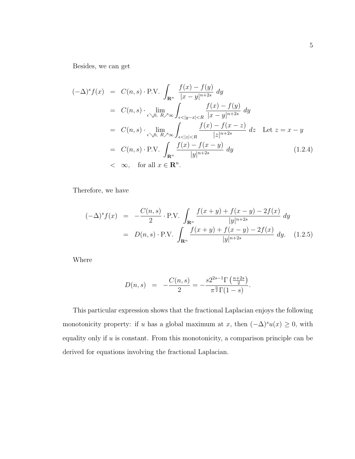Besides, we can get

$$
(-\Delta)^s f(x) = C(n, s) \cdot P.V. \int_{\mathbf{R}^n} \frac{f(x) - f(y)}{|x - y|^{n+2s}} dy
$$
  
\n
$$
= C(n, s) \cdot \lim_{\epsilon \searrow 0, R \nearrow \infty} \int_{\epsilon < |y - x| < R} \frac{f(x) - f(y)}{|x - y|^{n+2s}} dy
$$
  
\n
$$
= C(n, s) \cdot \lim_{\epsilon \searrow 0, R \nearrow \infty} \int_{\epsilon < |z| < R} \frac{f(x) - f(x - z)}{|z|^{n+2s}} dz \text{ Let } z = x - y
$$
  
\n
$$
= C(n, s) \cdot P.V. \int_{\mathbf{R}^n} \frac{f(x) - f(x - y)}{|y|^{n+2s}} dy
$$
(1.2.4)  
\n
$$
< \infty, \text{ for all } x \in \mathbf{R}^n.
$$

Therefore, we have

$$
(-\Delta)^s f(x) = -\frac{C(n,s)}{2} \cdot \text{P.V.} \int_{\mathbf{R}^n} \frac{f(x+y) + f(x-y) - 2f(x)}{|y|^{n+2s}} dy
$$
  
=  $D(n,s) \cdot \text{P.V.} \int_{\mathbf{R}^n} \frac{f(x+y) + f(x-y) - 2f(x)}{|y|^{n+2s}} dy.$  (1.2.5)

Where

$$
D(n,s) = -\frac{C(n,s)}{2} = -\frac{s2^{2s-1}\Gamma(\frac{n+2s}{2})}{\pi^{\frac{n}{2}}\Gamma(1-s)}.
$$

This particular expression shows that the fractional Laplacian enjoys the following monotonicity property: if u has a global maximum at x, then  $(-\Delta)^{s}u(x) \geq 0$ , with equality only if  $u$  is constant. From this monotonicity, a comparison principle can be derived for equations involving the fractional Laplacian.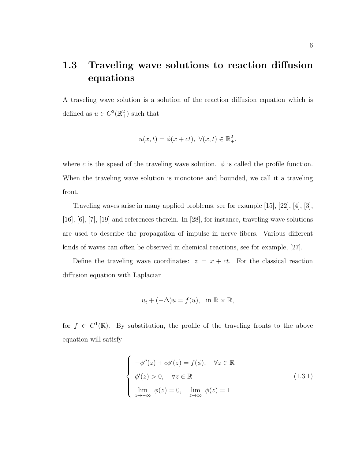### 1.3 Traveling wave solutions to reaction diffusion equations

A traveling wave solution is a solution of the reaction diffusion equation which is defined as  $u \in C^2(\mathbb{R}^2_+)$  such that

$$
u(x,t) = \phi(x+ct), \ \forall (x,t) \in \mathbb{R}^2_+.
$$

where c is the speed of the traveling wave solution.  $\phi$  is called the profile function. When the traveling wave solution is monotone and bounded, we call it a traveling front.

Traveling waves arise in many applied problems, see for example [15], [22], [4], [3], [16], [6], [7], [19] and references therein. In [28], for instance, traveling wave solutions are used to describe the propagation of impulse in nerve fibers. Various different kinds of waves can often be observed in chemical reactions, see for example, [27].

Define the traveling wave coordinates:  $z = x + ct$ . For the classical reaction diffusion equation with Laplacian

$$
u_t + (-\Delta)u = f(u), \text{ in } \mathbb{R} \times \mathbb{R},
$$

for  $f \in C^1(\mathbb{R})$ . By substitution, the profile of the traveling fronts to the above equation will satisfy

$$
\begin{cases}\n-\phi''(z) + c\phi'(z) = f(\phi), & \forall z \in \mathbb{R} \\
\phi'(z) > 0, & \forall z \in \mathbb{R} \\
\lim_{z \to -\infty} \phi(z) = 0, & \lim_{z \to \infty} \phi(z) = 1\n\end{cases}
$$
\n(1.3.1)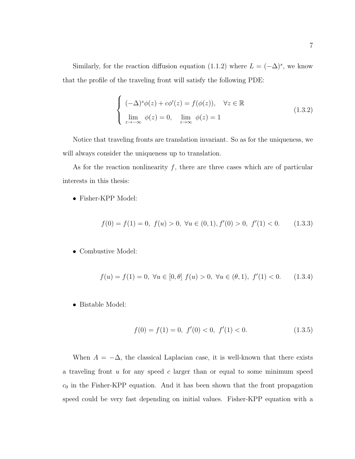Similarly, for the reaction diffusion equation (1.1.2) where  $L = (-\Delta)^s$ , we know that the profile of the traveling front will satisfy the following PDE:

$$
\begin{cases}\n(-\Delta)^s \phi(z) + c\phi'(z) = f(\phi(z)), & \forall z \in \mathbb{R} \\
\lim_{z \to -\infty} \phi(z) = 0, & \lim_{z \to \infty} \phi(z) = 1\n\end{cases}
$$
\n(1.3.2)

Notice that traveling fronts are translation invariant. So as for the uniqueness, we will always consider the uniqueness up to translation.

As for the reaction nonlinearity  $f$ , there are three cases which are of particular interests in this thesis:

• Fisher-KPP Model:

$$
f(0) = f(1) = 0, \ f(u) > 0, \ \forall u \in (0, 1), f'(0) > 0, \ f'(1) < 0. \tag{1.3.3}
$$

• Combustive Model:

$$
f(u) = f(1) = 0, \ \forall u \in [0, \theta] \ f(u) > 0, \ \forall u \in (\theta, 1), \ f'(1) < 0. \tag{1.3.4}
$$

• Bistable Model:

$$
f(0) = f(1) = 0, \ f'(0) < 0, \ f'(1) < 0. \tag{1.3.5}
$$

When  $A = -\Delta$ , the classical Laplacian case, it is well-known that there exists a traveling front u for any speed c larger than or equal to some minimum speed  $c_0$  in the Fisher-KPP equation. And it has been shown that the front propagation speed could be very fast depending on initial values. Fisher-KPP equation with a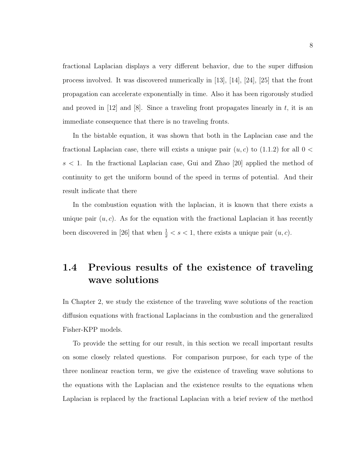fractional Laplacian displays a very different behavior, due to the super diffusion process involved. It was discovered numerically in [13], [14], [24], [25] that the front propagation can accelerate exponentially in time. Also it has been rigorously studied and proved in  $[12]$  and  $[8]$ . Since a traveling front propagates linearly in t, it is an immediate consequence that there is no traveling fronts.

In the bistable equation, it was shown that both in the Laplacian case and the fractional Laplacian case, there will exists a unique pair  $(u, c)$  to  $(1.1.2)$  for all  $0 <$  $s < 1$ . In the fractional Laplacian case, Gui and Zhao [20] applied the method of continuity to get the uniform bound of the speed in terms of potential. And their result indicate that there

In the combustion equation with the laplacian, it is known that there exists a unique pair  $(u, c)$ . As for the equation with the fractional Laplacian it has recently been discovered in [26] that when  $\frac{1}{2} < s < 1$ , there exists a unique pair  $(u, c)$ .

### 1.4 Previous results of the existence of traveling wave solutions

In Chapter 2, we study the existence of the traveling wave solutions of the reaction diffusion equations with fractional Laplacians in the combustion and the generalized Fisher-KPP models.

To provide the setting for our result, in this section we recall important results on some closely related questions. For comparison purpose, for each type of the three nonlinear reaction term, we give the existence of traveling wave solutions to the equations with the Laplacian and the existence results to the equations when Laplacian is replaced by the fractional Laplacian with a brief review of the method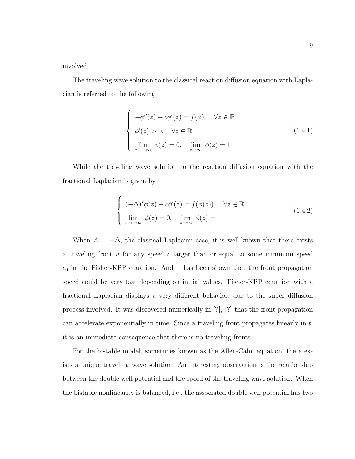involved.

The traveling wave solution to the classical reaction diffusion equation with Laplacian is referred to the following:

$$
\begin{cases}\n-\phi''(z) + c\phi'(z) = f(\phi), & \forall z \in \mathbb{R} \\
\phi'(z) > 0, & \forall z \in \mathbb{R} \\
\lim_{z \to -\infty} \phi(z) = 0, & \lim_{z \to \infty} \phi(z) = 1\n\end{cases}
$$
\n(1.4.1)

While the traveling wave solution to the reaction diffusion equation with the fractional Laplacian is given by

$$
\begin{cases}\n(-\Delta)^s \phi(z) + c\phi'(z) = f(\phi(z)), & \forall z \in \mathbb{R} \\
\lim_{z \to -\infty} \phi(z) = 0, & \lim_{z \to \infty} \phi(z) = 1\n\end{cases}
$$
\n(1.4.2)

When  $A = -\Delta$ , the classical Laplacian case, it is well-known that there exists a traveling front  $u$  for any speed  $c$  larger than or equal to some minimum speed  $c_0$  in the Fisher-KPP equation. And it has been shown that the front propagation speed could be very fast depending on initial values. Fisher-KPP equation with a fractional Laplacian displays a very different behavior, due to the super diffusion process involved. It was discovered numerically in [?], [?] that the front propagation can accelerate exponentially in time. Since a traveling front propagates linearly in  $t$ , it is an immediate consequence that there is no traveling fronts.

For the bistable model, sometimes known as the Allen-Cahn equation, there exists a unique traveling wave solution. An interesting observation is the relationship between the double well potential and the speed of the traveling wave solution. When the bistable nonlinearity is balanced, i.e., the associated double well potential has two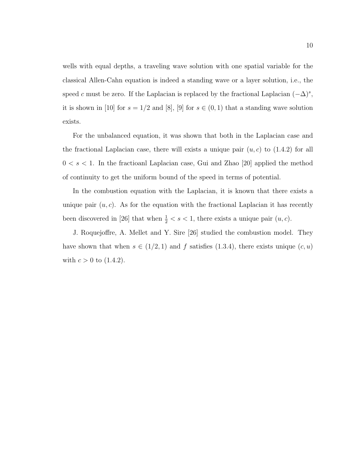wells with equal depths, a traveling wave solution with one spatial variable for the classical Allen-Cahn equation is indeed a standing wave or a layer solution, i.e., the speed c must be zero. If the Laplacian is replaced by the fractional Laplacian  $(-\Delta)^s$ , it is shown in [10] for  $s = 1/2$  and [8], [9] for  $s \in (0, 1)$  that a standing wave solution exists.

For the unbalanced equation, it was shown that both in the Laplacian case and the fractional Laplacian case, there will exists a unique pair  $(u, c)$  to  $(1.4.2)$  for all  $0 < s < 1$ . In the fractioanl Laplacian case, Gui and Zhao [20] applied the method of continuity to get the uniform bound of the speed in terms of potential.

In the combustion equation with the Laplacian, it is known that there exists a unique pair  $(u, c)$ . As for the equation with the fractional Laplacian it has recently been discovered in [26] that when  $\frac{1}{2} < s < 1$ , there exists a unique pair  $(u, c)$ .

J. Roquejoffre, A. Mellet and Y. Sire [26] studied the combustion model. They have shown that when  $s \in (1/2, 1)$  and f satisfies  $(1.3.4)$ , there exists unique  $(c, u)$ with  $c > 0$  to  $(1.4.2)$ .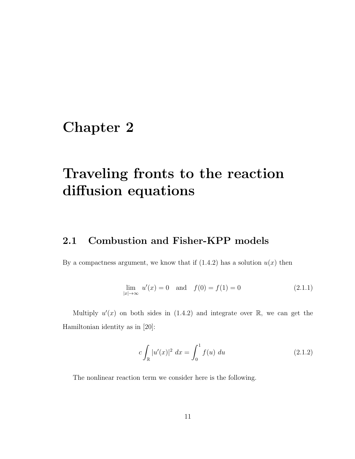## Chapter 2

## Traveling fronts to the reaction diffusion equations

### 2.1 Combustion and Fisher-KPP models

By a compactness argument, we know that if  $(1.4.2)$  has a solution  $u(x)$  then

$$
\lim_{|x| \to \infty} u'(x) = 0 \quad \text{and} \quad f(0) = f(1) = 0 \tag{2.1.1}
$$

Multiply  $u'(x)$  on both sides in (1.4.2) and integrate over  $\mathbb{R}$ , we can get the Hamiltonian identity as in [20]:

$$
c \int_{\mathbb{R}} |u'(x)|^2 \, dx = \int_0^1 f(u) \, du \tag{2.1.2}
$$

The nonlinear reaction term we consider here is the following.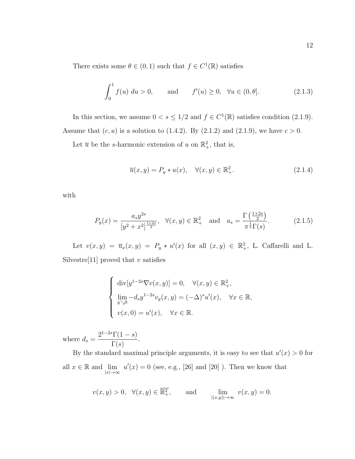There exists some  $\theta \in (0,1)$  such that  $f \in C^1(\mathbb{R})$  satisfies

$$
\int_0^1 f(u) \, du > 0, \qquad \text{and} \qquad f'(u) \ge 0, \quad \forall u \in (0, \theta]. \tag{2.1.3}
$$

In this section, we assume  $0 < s \leq 1/2$  and  $f \in C^1(\mathbb{R})$  satisfies condition (2.1.9). Assume that  $(c, u)$  is a solution to (1.4.2). By (2.1.2) and (2.1.9), we have  $c > 0$ .

Let  $\bar{u}$  be the s-harmonic extension of u on  $\mathbb{R}^2_+$ , that is,

$$
\overline{u}(x,y) = P_y * u(x), \quad \forall (x,y) \in \mathbb{R}^2_+.
$$
\n(2.1.4)

with

$$
P_y(x) = \frac{a_s y^{2s}}{[y^2 + x^2]^{\frac{1+2s}{2}}}, \quad \forall (x, y) \in \mathbb{R}_+^2 \quad \text{and} \quad a_s = \frac{\Gamma\left(\frac{1+2s}{2}\right)}{\pi^{\frac{1}{2}} \Gamma(s)}.
$$
 (2.1.5)

Let  $v(x, y) = \overline{u}_x(x, y) = P_y * u'(x)$  for all  $(x, y) \in \mathbb{R}^2_+$ , L. Caffarelli and L. Silvestre<sup>[11]</sup> proved that v satisfies

$$
\begin{cases}\n\operatorname{div}[y^{1-2s}\nabla v(x,y)] = 0, & \forall (x,y) \in \mathbb{R}^2_+, \\
\lim_{y \searrow 0} -d_s y^{1-2s} v_y(x,y) = (-\Delta)^s u'(x), & \forall x \in \mathbb{R}, \\
v(x,0) = u'(x), & \forall x \in \mathbb{R}.\n\end{cases}
$$

where  $d_s =$  $2^{1-2s}\Gamma(1-s)$  $\Gamma(s)$ .

By the standard maximal principle arguments, it is easy to see that  $u'(x) > 0$  for all  $x \in \mathbb{R}$  and  $\lim_{|x| \to \infty} u'(x) = 0$  (see, e.g., [26] and [20] ). Then we know that

$$
v(x, y) > 0
$$
,  $\forall (x, y) \in \overline{\mathbb{R}^2_+}$ , and  $\lim_{|(x,y)| \to \infty} v(x, y) = 0$ .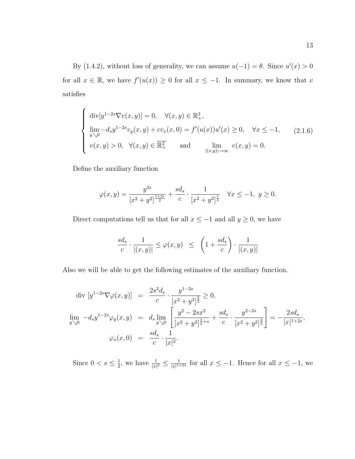By (1.4.2), without loss of generality, we can assume  $u(-1) = \theta$ . Since  $u'(x) > 0$ for all  $x \in \mathbb{R}$ , we have  $f'(u(x)) \geq 0$  for all  $x \leq -1$ . In summary, we know that v satisfies

$$
\begin{cases}\n\text{div}[y^{1-2s}\nabla v(x,y)] = 0, & \forall (x,y) \in \mathbb{R}^2_+, \\
\lim_{y \searrow 0} -d_s y^{1-2s} v_y(x,y) + c v_x(x,0) = f'(u(x))u'(x) \ge 0, & \forall x \le -1, \\
v(x,y) > 0, & \forall (x,y) \in \overline{\mathbb{R}^2_+} \quad \text{and} \quad \lim_{|(x,y)| \to \infty} v(x,y) = 0.\n\end{cases}
$$
\n(2.1.6)

Define the auxiliary function

$$
\varphi(x,y) = \frac{y^{2s}}{[x^2 + y^2]^{\frac{1+2s}{2}}} + \frac{sd_s}{c} \cdot \frac{1}{[x^2 + y^2]^{\frac{1}{2}}} \quad \forall x \le -1, \ y \ge 0.
$$

Direct computations tell us that for all  $x \le -1$  and all  $y \ge 0$ , we have

$$
\frac{sd_s}{c} \cdot \frac{1}{|(x,y)|} \leq \varphi(x,y) \ \leq \ \left(1 + \frac{sd_s}{c} \right) \cdot \frac{1}{|(x,y)|}
$$

Also we will be able to get the following estimates of the auxiliary function.

$$
\text{div } [y^{1-2s} \nabla \varphi(x, y)] = \frac{2s^2 d_s}{c} \cdot \frac{y^{1-2s}}{[x^2 + y^2]^{\frac{3}{2}}} \ge 0,
$$
\n
$$
\lim_{y \searrow 0} -d_s y^{1-2s} \varphi_y(x, y) = d_s \lim_{y \searrow 0} \left[ \frac{y^2 - 2sx^2}{[x^2 + y^2]^{\frac{3}{2} + s}} + \frac{sd_s}{c} \cdot \frac{y^{2-2s}}{[x^2 + y^2]^{\frac{3}{2}}} \right] = -\frac{2sd_s}{|x|^{1+2s}},
$$
\n
$$
\varphi_x(x, 0) = \frac{sd_s}{c} \cdot \frac{1}{|x|^2}.
$$

Since  $0 < s \leq \frac{1}{2}$  $\frac{1}{2}$ , we have  $\frac{1}{|x|^2} \leq \frac{1}{|x|^{1-2}}$  $\frac{1}{|x|^{1+2s}}$  for all  $x \leq -1$ . Hence for all  $x \leq -1$ , we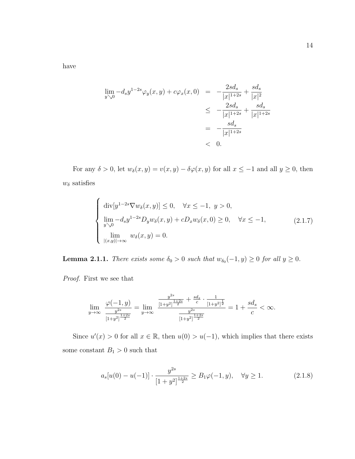have

$$
\lim_{y \searrow 0} -d_s y^{1-2s} \varphi_y(x, y) + c \varphi_x(x, 0) = -\frac{2s d_s}{|x|^{1+2s}} + \frac{s d_s}{|x|^2} \n\le -\frac{2s d_s}{|x|^{1+2s}} + \frac{s d_s}{|x|^{1+2s}} \n= -\frac{s d_s}{|x|^{1+2s}} \n< 0.
$$

For any  $\delta > 0$ , let  $w_{\delta}(x, y) = v(x, y) - \delta \varphi(x, y)$  for all  $x \le -1$  and all  $y \ge 0$ , then  $w_\delta$  satisfies

$$
\begin{cases}\n\operatorname{div}[y^{1-2s}\nabla w_{\delta}(x,y)] \leq 0, & \forall x \leq -1, y > 0, \\
\lim_{y \searrow 0} -d_{s}y^{1-2s}D_{y}w_{\delta}(x,y) + cD_{x}w_{\delta}(x,0) \geq 0, & \forall x \leq -1, \\
\lim_{|(x,y)| \to \infty} w_{\delta}(x,y) = 0.\n\end{cases}
$$
\n(2.1.7)

**Lemma 2.1.1.** There exists some  $\delta_0 > 0$  such that  $w_{\delta_0}(-1, y) \ge 0$  for all  $y \ge 0$ .

Proof. First we see that

$$
\lim_{y \to \infty} \frac{\varphi(-1, y)}{\frac{y^{2s}}{[1+y^2]^{\frac{1+2s}{2}}}} = \lim_{y \to \infty} \frac{\frac{y^{2s}}{[1+y^2]^{\frac{1+2s}{2}}} + \frac{sd_s}{c} \cdot \frac{1}{[1+y^2]^{\frac{1}{2}}}}{\frac{y^{2s}}{[1+y^2]^{\frac{1+2s}{2}}}} = 1 + \frac{sd_s}{c} < \infty.
$$

Since  $u'(x) > 0$  for all  $x \in \mathbb{R}$ , then  $u(0) > u(-1)$ , which implies that there exists some constant  $B_1 > 0$  such that

$$
a_s[u(0) - u(-1)] \cdot \frac{y^{2s}}{[1+y^2]^{\frac{1+2s}{2}}} \ge B_1\varphi(-1, y), \quad \forall y \ge 1.
$$
 (2.1.8)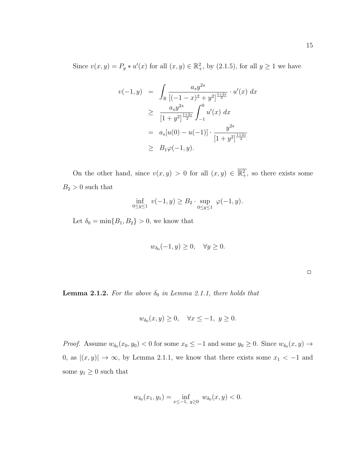Since  $v(x, y) = P_y * u'(x)$  for all  $(x, y) \in \mathbb{R}^2_+$ , by  $(2.1.5)$ , for all  $y \ge 1$  we have

$$
v(-1, y) = \int_{\mathbb{R}} \frac{a_s y^{2s}}{[(-1 - x)^2 + y^2]^{\frac{1+2s}{2}}} \cdot u'(x) dx
$$
  
\n
$$
\geq \frac{a_s y^{2s}}{[1 + y^2]^{\frac{1+2s}{2}}} \int_{-1}^{0} u'(x) dx
$$
  
\n
$$
= a_s[u(0) - u(-1)] \cdot \frac{y^{2s}}{[1 + y^2]^{\frac{1+2s}{2}}}
$$
  
\n
$$
\geq B_1 \varphi(-1, y).
$$

On the other hand, since  $v(x, y) > 0$  for all  $(x, y) \in \overline{\mathbb{R}^2_+}$ , so there exists some  $B_2 > 0$  such that

$$
\inf_{0 \le y \le 1} v(-1, y) \ge B_2 \cdot \sup_{0 \le y \le 1} \varphi(-1, y).
$$

Let  $\delta_0 = \min\{B_1, B_2\} > 0$ , we know that

$$
w_{\delta_0}(-1, y) \ge 0, \quad \forall y \ge 0.
$$

 $\Box$ 

**Lemma 2.1.2.** For the above  $\delta_0$  in Lemma 2.1.1, there holds that

$$
w_{\delta_0}(x, y) \ge 0, \quad \forall x \le -1, \ y \ge 0.
$$

*Proof.* Assume  $w_{\delta_0}(x_0, y_0) < 0$  for some  $x_0 \leq -1$  and some  $y_0 \geq 0$ . Since  $w_{\delta_0}(x, y) \to$ 0, as  $|(x, y)| \rightarrow \infty$ , by Lemma 2.1.1, we know that there exists some  $x_1 < -1$  and some  $y_1 \geq 0$  such that

$$
w_{\delta_0}(x_1, y_1) = \inf_{x \le -1, y \ge 0} w_{\delta_0}(x, y) < 0.
$$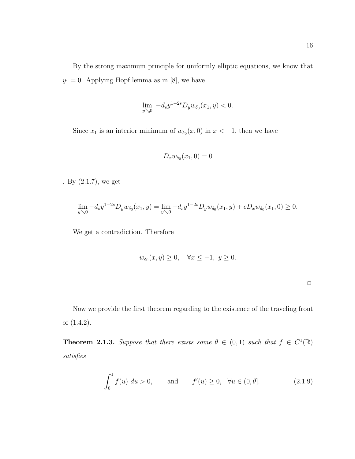By the strong maximum principle for uniformly elliptic equations, we know that  $y_1=0.$  Applying Hopf lemma as in [8], we have

$$
\lim_{y \searrow 0} -d_s y^{1-2s} D_y w_{\delta_0}(x_1, y) < 0.
$$

Since  $x_1$  is an interior minimum of  $w_{\delta_0}(x,0)$  in  $x < -1$ , then we have

$$
D_x w_{\delta_0}(x_1,0)=0
$$

. By (2.1.7), we get

$$
\lim_{y \searrow 0} -d_s y^{1-2s} D_y w_{\delta_0}(x_1, y) = \lim_{y \searrow 0} -d_s y^{1-2s} D_y w_{\delta_0}(x_1, y) + c D_x w_{\delta_0}(x_1, 0) \ge 0.
$$

We get a contradiction. Therefore

$$
w_{\delta_0}(x, y) \ge 0, \quad \forall x \le -1, \ y \ge 0.
$$

Now we provide the first theorem regarding to the existence of the traveling front of (1.4.2).

**Theorem 2.1.3.** Suppose that there exists some  $\theta \in (0,1)$  such that  $f \in C^1(\mathbb{R})$ satisfies

$$
\int_0^1 f(u) \, du > 0, \qquad \text{and} \qquad f'(u) \ge 0, \quad \forall u \in (0, \theta]. \tag{2.1.9}
$$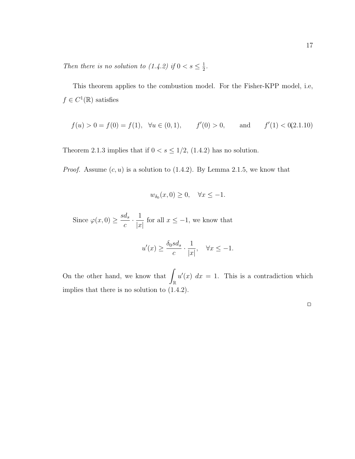Then there is no solution to  $(1.4.2)$  if  $0 < s \leq \frac{1}{2}$  $\frac{1}{2}$ .

This theorem applies to the combustion model. For the Fisher-KPP model, i.e,  $f \in C^1(\mathbb{R})$  satisfies

$$
f(u) > 0 = f(0) = f(1), \quad \forall u \in (0, 1), \qquad f'(0) > 0, \qquad \text{and} \qquad f'(1) < 0
$$
(2.1.10)

Theorem 2.1.3 implies that if  $0 < s \leq 1/2$ , (1.4.2) has no solution.

*Proof.* Assume  $(c, u)$  is a solution to  $(1.4.2)$ . By Lemma 2.1.5, we know that

$$
w_{\delta_0}(x,0) \ge 0, \quad \forall x \le -1.
$$

Since  $\varphi(x,0) \geq \frac{sd_s}{x}$ c  $\cdot \frac{1}{1}$  $|x|$ for all  $x \leq -1$ , we know that

$$
u'(x) \ge \frac{\delta_0 s d_s}{c} \cdot \frac{1}{|x|}, \quad \forall x \le -1.
$$

On the other hand, we know that  $\int$ R  $u'(x)$  dx = 1. This is a contradiction which implies that there is no solution to (1.4.2).

 $\hfill \square$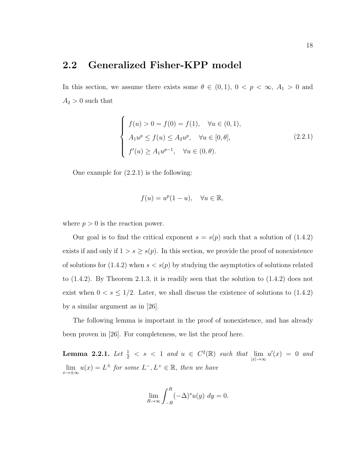### 2.2 Generalized Fisher-KPP model

In this section, we assume there exists some  $\theta \in (0,1)$ ,  $0 < p < \infty$ ,  $A_1 > 0$  and  $A_2 > 0$  such that

$$
\begin{cases}\nf(u) > 0 = f(0) = f(1), \quad \forall u \in (0, 1), \\
A_1 u^p \le f(u) \le A_2 u^p, \quad \forall u \in [0, \theta], \\
f'(u) \ge A_1 u^{p-1}, \quad \forall u \in (0, \theta).\n\end{cases} \tag{2.2.1}
$$

One example for (2.2.1) is the following:

$$
f(u) = u^p(1-u), \quad \forall u \in \mathbb{R},
$$

where  $p > 0$  is the reaction power.

Our goal is to find the critical exponent  $s = s(p)$  such that a solution of (1.4.2) exists if and only if  $1 > s \geq s(p)$ . In this section, we provide the proof of nonexistence of solutions for  $(1.4.2)$  when  $s < s(p)$  by studying the asymptotics of solutions related to (1.4.2). By Theorem 2.1.3, it is readily seen that the solution to (1.4.2) does not exist when  $0 < s \leq 1/2$ . Later, we shall discuss the existence of solutions to (1.4.2) by a similar argument as in [26].

The following lemma is important in the proof of nonexistence, and has already been proven in [26]. For completeness, we list the proof here.

**Lemma 2.2.1.** Let  $\frac{1}{2} < s < 1$  and  $u \in C^2(\mathbb{R})$  such that  $\lim_{|x| \to \infty} u'(x) = 0$  and  $\lim_{x \to \pm \infty} u(x) = L^{\pm}$  for some  $L^{-}, L^{+} \in \mathbb{R}$ , then we have

$$
\lim_{R \to \infty} \int_{-R}^{R} (-\Delta)^s u(y) \, dy = 0.
$$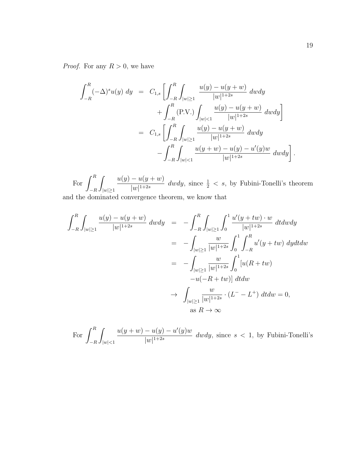*Proof.* For any  $R > 0$ , we have

$$
\int_{-R}^{R} (-\Delta)^{s} u(y) dy = C_{1,s} \left[ \int_{-R}^{R} \int_{|w| \ge 1} \frac{u(y) - u(y + w)}{|w|^{1+2s}} dw dy + \int_{-R}^{R} (\text{P.V.}) \int_{|w| < 1} \frac{u(y) - u(y + w)}{|w|^{1+2s}} dw dy \right]
$$
\n
$$
= C_{1,s} \left[ \int_{-R}^{R} \int_{|w| \ge 1} \frac{u(y) - u(y + w)}{|w|^{1+2s}} dw dy - \int_{-R}^{R} \int_{|w| < 1} \frac{u(y + w) - u(y) - u'(y)w}{|w|^{1+2s}} dw dy \right].
$$

For  $\int^R$  $-R$ Z  $|w|\geq 1$  $u(y) - u(y+w)$  $\frac{1}{|w|^{1+2s}}$  dwdy, since  $\frac{1}{2} < s$ , by Fubini-Tonelli's theorem

and the dominated convergence theorem, we know that

$$
\int_{-R}^{R} \int_{|w| \ge 1} \frac{u(y) - u(y + w)}{|w|^{1+2s}} \, dw \, dy = - \int_{-R}^{R} \int_{|w| \ge 1} \int_{0}^{1} \frac{u'(y + tw) \cdot w}{|w|^{1+2s}} \, dt \, dw \, dy
$$
\n
$$
= - \int_{|w| \ge 1} \frac{w}{|w|^{1+2s}} \int_{0}^{1} \int_{-R}^{R} u'(y + tw) \, dy \, dt \, dw
$$
\n
$$
= - \int_{|w| \ge 1} \frac{w}{|w|^{1+2s}} \int_{0}^{1} [u(R + tw) - u(-R + tw)] \, dt \, dw
$$
\n
$$
\to \int_{|w| \ge 1} \frac{w}{|w|^{1+2s}} \cdot (L^{-} - L^{+}) \, dt \, dw = 0,
$$
\nas  $R \to \infty$ 

For  $\int^R$  $-R$ Z  $|w|$  < 1  $u(y + w) - u(y) - u'(y)w$  $\frac{d^2(y)}{|w|^{1+2s}}$  dwdy, since  $s < 1$ , by Fubini-Tonelli's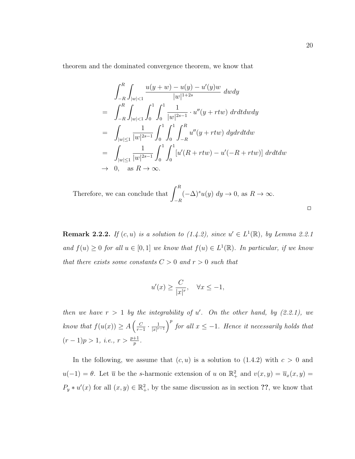theorem and the dominated convergence theorem, we know that

$$
\int_{-R}^{R} \int_{|w|<1} \frac{u(y+w) - u(y) - u'(y)w}{|w|^{1+2s}} dw dy
$$
\n
$$
= \int_{-R}^{R} \int_{|w|<1} \int_{0}^{1} \int_{0}^{1} \frac{1}{|w|^{2s-1}} \cdot u''(y+rtw) dr dt dw dy
$$
\n
$$
= \int_{|w|\leq 1} \frac{1}{|w|^{2s-1}} \int_{0}^{1} \int_{0}^{1} \int_{-R}^{R} u''(y+rtw) dy dr dt dw
$$
\n
$$
= \int_{|w|\leq 1} \frac{1}{|w|^{2s-1}} \int_{0}^{1} \int_{0}^{1} [u'(R+rtw) - u'(-R+rtw)] dr dt dw
$$
\n
$$
\to 0, \text{ as } R \to \infty.
$$

Therefore, we can conclude that 
$$
\int_{-R}^{R} (-\Delta)^s u(y) dy \to 0
$$
, as  $R \to \infty$ .

**Remark 2.2.2.** If  $(c, u)$  is a solution to  $(1.4.2)$ , since  $u' \in L^1(\mathbb{R})$ , by Lemma 2.2.1 and  $f(u) \geq 0$  for all  $u \in [0,1]$  we know that  $f(u) \in L^1(\mathbb{R})$ . In particular, if we know that there exists some constants  $C > 0$  and  $r > 0$  such that

$$
u'(x) \ge \frac{C}{|x|^r}, \quad \forall x \le -1,
$$

then we have  $r > 1$  by the integrability of u'. On the other hand, by (2.2.1), we know that  $f(u(x)) \geq A \left( \frac{C}{x-1} \right)$  $\frac{C}{r-1} \cdot \frac{1}{|x|^r}$  $\frac{1}{|x|^{r-1}}$  for all  $x \leq -1$ . Hence it necessarily holds that  $(r-1)p > 1, i.e., r > \frac{p+1}{p}.$ 

In the following, we assume that  $(c, u)$  is a solution to  $(1.4.2)$  with  $c > 0$  and  $u(-1) = \theta$ . Let  $\overline{u}$  be the s-harmonic extension of u on  $\mathbb{R}^2_+$  and  $v(x, y) = \overline{u}_x(x, y) =$  $P_y * u'(x)$  for all  $(x, y) \in \mathbb{R}^2_+$ , by the same discussion as in section ??, we know that

 $\Box$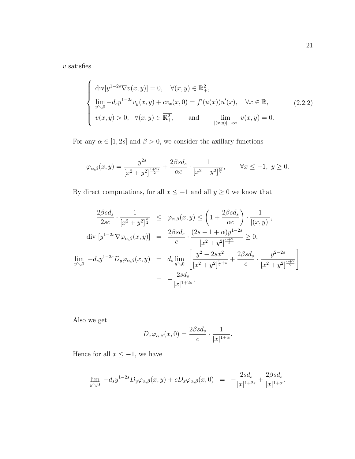$\upsilon$  satisfies

$$
\begin{cases}\n\operatorname{div}[y^{1-2s}\nabla v(x,y)] = 0, & \forall (x,y) \in \mathbb{R}^2_+, \\
\lim_{y \searrow 0} -d_s y^{1-2s} v_y(x,y) + c v_x(x,0) = f'(u(x)) u'(x), & \forall x \in \mathbb{R}, \\
v(x,y) > 0, & \forall (x,y) \in \overline{\mathbb{R}^2_+}, \quad \text{and} \quad \lim_{\substack{|(x,y)| \to \infty}} v(x,y) = 0.\n\end{cases}
$$
\n(2.2.2)

For any  $\alpha \in [1, 2s]$  and  $\beta > 0$ , we consider the axillary functions

$$
\varphi_{\alpha,\beta}(x,y) = \frac{y^{2s}}{[x^2 + y^2]^{\frac{1+2s}{2}}} + \frac{2\beta sd_s}{\alpha c} \cdot \frac{1}{[x^2 + y^2]^{\frac{\alpha}{2}}}, \qquad \forall x \le -1, \ y \ge 0.
$$

By direct computations, for all  $x\leq -1$  and all  $y\geq 0$  we know that

$$
\frac{2\beta sd_s}{2sc} \cdot \frac{1}{[x^2 + y^2]^{\frac{\alpha}{2}}} \leq \varphi_{\alpha,\beta}(x,y) \leq \left(1 + \frac{2\beta sd_s}{\alpha c}\right) \cdot \frac{1}{|(x,y)|},
$$
  
\ndiv  $[y^{1-2s} \nabla \varphi_{\alpha,\beta}(x,y)] = \frac{2\beta sd_s}{c} \cdot \frac{(2s - 1 + \alpha)y^{1-2s}}{[x^2 + y^2]^{\frac{\alpha+2}{2}}} \geq 0,$   
\n
$$
\lim_{y \searrow 0} -d_s y^{1-2s} D_y \varphi_{\alpha,\beta}(x,y) = d_s \lim_{y \searrow 0} \left[ \frac{y^2 - 2sx^2}{[x^2 + y^2]^{\frac{3}{2}+s}} + \frac{2\beta sd_s}{c} \cdot \frac{y^{2-2s}}{[x^2 + y^2]^{\frac{\alpha+2}{2}}}\right]
$$
\n
$$
= -\frac{2sd_s}{|x|^{1+2s}},
$$

Also we get

$$
D_x \varphi_{\alpha,\beta}(x,0) = \frac{2\beta s d_s}{c} \cdot \frac{1}{|x|^{1+\alpha}}.
$$

Hence for all  $x \le -1$ , we have

$$
\lim_{y \searrow 0} \ -d_s y^{1-2s} D_y \varphi_{\alpha,\beta}(x, y) + c D_x \varphi_{\alpha,\beta}(x, 0) \ = \ -\frac{2s d_s}{|x|^{1+2s}} + \frac{2\beta s d_s}{|x|^{1+\alpha}}.
$$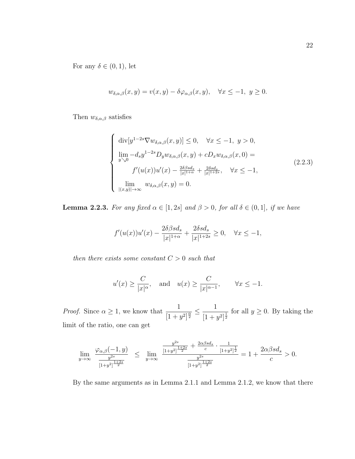For any  $\delta \in (0,1)$ , let

$$
w_{\delta,\alpha,\beta}(x,y) = v(x,y) - \delta\varphi_{\alpha,\beta}(x,y), \quad \forall x \le -1, \ y \ge 0.
$$

Then  $w_{\delta,\alpha,\beta}$  satisfies

$$
\begin{cases}\n\operatorname{div}[y^{1-2s}\nabla w_{\delta,\alpha,\beta}(x,y)] \leq 0, & \forall x \leq -1, y > 0, \\
\lim_{y \searrow 0} -d_s y^{1-2s} D_y w_{\delta,\alpha,\beta}(x,y) + c D_x w_{\delta,\alpha,\beta}(x,0) = \\
f'(u(x))u'(x) - \frac{2\delta\beta s d_s}{|x|^{1+\alpha}} + \frac{2\delta s d_s}{|x|^{1+2s}}, & \forall x \leq -1, \\
\lim_{|(x,y)| \to \infty} w_{\delta,\alpha,\beta}(x,y) = 0.\n\end{cases}
$$
\n(2.2.3)

**Lemma 2.2.3.** For any fixed  $\alpha \in [1, 2s]$  and  $\beta > 0$ , for all  $\delta \in (0, 1]$ , if we have

$$
f'(u(x))u'(x) - \frac{2\delta\beta sd_s}{|x|^{1+\alpha}} + \frac{2\delta sd_s}{|x|^{1+2s}} \ge 0, \quad \forall x \le -1,
$$

then there exists some constant  $C > 0$  such that

$$
u'(x) \ge \frac{C}{|x|^{\alpha}},
$$
 and  $u(x) \ge \frac{C}{|x|^{\alpha-1}},$   $\forall x \le -1.$ 

*Proof.* Since  $\alpha \geq 1$ , we know that  $\frac{1}{1}$  $\frac{1}{[1 + y^2]^{\frac{\alpha}{2}}} \leq \frac{1}{[1 + y^2]^{\frac{\alpha}{2}}}$  $\frac{1}{(1+y^2)^{\frac{1}{2}}}$  for all  $y \ge 0$ . By taking the limit of the ratio, one can get

$$
\lim_{y \to \infty} \frac{\varphi_{\alpha,\beta}(-1,y)}{\frac{y^{2s}}{[1+y^2]^{\frac{1+2s}{2}}}} \leq \lim_{y \to \infty} \frac{\frac{y^{2s}}{[1+y^2]^{\frac{1+2s}{2}}} + \frac{2\alpha\beta s d_s}{c} \cdot \frac{1}{[1+y^2]^{\frac{1}{2}}}}{\frac{y^{2s}}{[1+y^2]^{\frac{1+2s}{2}}}} = 1 + \frac{2\alpha\beta s d_s}{c} > 0.
$$

By the same arguments as in Lemma 2.1.1 and Lemma 2.1.2, we know that there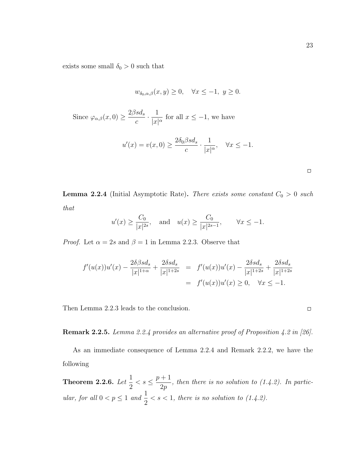exists some small  $\delta_0 > 0$  such that

$$
w_{\delta_0, \alpha, \beta}(x, y) \ge 0, \quad \forall x \le -1, \ y \ge 0.
$$
  
Since  $\varphi_{\alpha, \beta}(x, 0) \ge \frac{2\beta s d_s}{c} \cdot \frac{1}{|x|^{\alpha}}$  for all  $x \le -1$ , we have  

$$
u'(x) = v(x, 0) \ge \frac{2\delta_0 \beta s d_s}{c} \cdot \frac{1}{|x|^{\alpha}}, \quad \forall x \le -1.
$$

**Lemma 2.2.4** (Initial Asymptotic Rate). There exists some constant  $C_0 > 0$  such that

$$
u'(x) \ge \frac{C_0}{|x|^{2s}},
$$
 and  $u(x) \ge \frac{C_0}{|x|^{2s-1}},$   $\forall x \le -1.$ 

*Proof.* Let  $\alpha = 2s$  and  $\beta = 1$  in Lemma 2.2.3. Observe that

$$
f'(u(x))u'(x) - \frac{2\delta\beta sd_s}{|x|^{1+\alpha}} + \frac{2\delta sd_s}{|x|^{1+2s}} = f'(u(x))u'(x) - \frac{2\delta sd_s}{|x|^{1+2s}} + \frac{2\delta sd_s}{|x|^{1+2s}}
$$
  
=  $f'(u(x))u'(x) \ge 0, \quad \forall x \le -1.$ 

Then Lemma 2.2.3 leads to the conclusion.

Remark 2.2.5. Lemma 2.2.4 provides an alternative proof of Proposition 4.2 in [26].

As an immediate consequence of Lemma 2.2.4 and Remark 2.2.2, we have the following

Theorem 2.2.6. Let  $\frac{1}{2}$ 2  $\lt s \leq \frac{p+1}{2}$  $2p$ , then there is no solution to (1.4.2). In particular, for all  $0 < p \leq 1$  and  $\frac{1}{2}$ 2  $\langle s \rangle \langle s \rangle = 1$ , there is no solution to (1.4.2).

 $\Box$ 

 $\Box$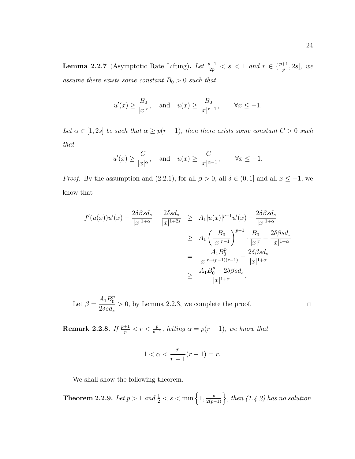**Lemma 2.2.7** (Asymptotic Rate Lifting). Let  $\frac{p+1}{2p} < s < 1$  and  $r \in (\frac{p+1}{p})$  $\frac{+1}{p}, 2s]$ , we assume there exists some constant  $B_0 > 0$  such that

$$
u'(x) \ge \frac{B_0}{|x|^r}
$$
, and  $u(x) \ge \frac{B_0}{|x|^{r-1}}$ ,  $\forall x \le -1$ .

Let  $\alpha \in [1, 2s]$  be such that  $\alpha \geq p(r-1)$ , then there exists some constant  $C > 0$  such that

$$
u'(x) \ge \frac{C}{|x|^{\alpha}},
$$
 and  $u(x) \ge \frac{C}{|x|^{\alpha-1}},$   $\forall x \le -1.$ 

*Proof.* By the assumption and (2.2.1), for all  $\beta > 0$ , all  $\delta \in (0, 1]$  and all  $x \le -1$ , we know that

$$
f'(u(x))u'(x) - \frac{2\delta\beta sd_s}{|x|^{1+\alpha}} + \frac{2\delta sd_s}{|x|^{1+2s}} \ge A_1|u(x)|^{p-1}u'(x) - \frac{2\delta\beta sd_s}{|x|^{1+\alpha}}
$$
  
\n
$$
\ge A_1 \left(\frac{B_0}{|x|^{r-1}}\right)^{p-1} \cdot \frac{B_0}{|x|^r} - \frac{2\delta\beta sd_s}{|x|^{1+\alpha}}
$$
  
\n
$$
= \frac{A_1B_0^p}{|x|^{r+(p-1)(r-1)}} - \frac{2\delta\beta sd_s}{|x|^{1+\alpha}}
$$
  
\n
$$
\ge \frac{A_1B_0^p - 2\delta\beta sd_s}{|x|^{1+\alpha}}.
$$

Let  $\beta = \frac{A_1 B_0^p}{2S}$ 0  $2\delta sd_s$  $> 0$ , by Lemma 2.2.3, we complete the proof.

 $\hfill \square$ 

**Remark 2.2.8.** If  $\frac{p+1}{p} < r < \frac{p}{p-1}$ , letting  $\alpha = p(r-1)$ , we know that

$$
1 < \alpha < \frac{r}{r-1}(r-1) = r.
$$

We shall show the following theorem.

**Theorem 2.2.9.** Let  $p > 1$  and  $\frac{1}{2} < s < \min\left\{1, \frac{p}{2(p-1)}\right\}$ , then  $(1.4.2)$  has no solution.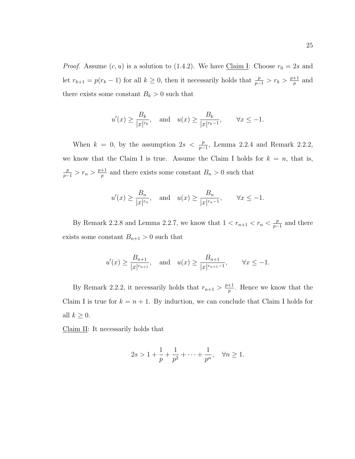*Proof.* Assume  $(c, u)$  is a solution to (1.4.2). We have Claim I: Choose  $r_0 = 2s$  and let  $r_{k+1} = p(r_k - 1)$  for all  $k \geq 0$ , then it necessarily holds that  $\frac{p}{p-1} > r_k > \frac{p+1}{p}$  $\frac{+1}{p}$  and there exists some constant  $B_k > 0$  such that

$$
u'(x) \ge \frac{B_k}{|x|^{r_k}},
$$
 and  $u(x) \ge \frac{B_k}{|x|^{r_k-1}},$   $\forall x \le -1.$ 

When  $k = 0$ , by the assumption  $2s < \frac{p}{p-1}$ , Lemma 2.2.4 and Remark 2.2.2, we know that the Claim I is true. Assume the Claim I holds for  $k = n$ , that is,  $\frac{p}{p-1} > r_n > \frac{p+1}{p}$  $\frac{p+1}{p}$  and there exists some constant  $B_n > 0$  such that

$$
u'(x) \ge \frac{B_n}{|x|^{r_n}},
$$
 and  $u(x) \ge \frac{B_n}{|x|^{r_n-1}},$   $\forall x \le -1.$ 

By Remark 2.2.8 and Lemma 2.2.7, we know that  $1 < r_{n+1} < r_n < \frac{p}{n-1}$  $\frac{p}{p-1}$  and there exists some constant  $B_{n+1} > 0$  such that

$$
u'(x) \ge \frac{B_{n+1}}{|x|^{r_{n+1}}}
$$
, and  $u(x) \ge \frac{B_{n+1}}{|x|^{r_{n+1}-1}}$ ,  $\forall x \le -1$ .

By Remark 2.2.2, it necessarily holds that  $r_{n+1} > \frac{p+1}{n}$  $\frac{+1}{p}$ . Hence we know that the Claim I is true for  $k = n + 1$ . By induction, we can conclude that Claim I holds for all  $k \geq 0$ .

Claim II: It necessarily holds that

$$
2s > 1 + \frac{1}{p} + \frac{1}{p^2} + \dots + \frac{1}{p^n}, \quad \forall n \ge 1.
$$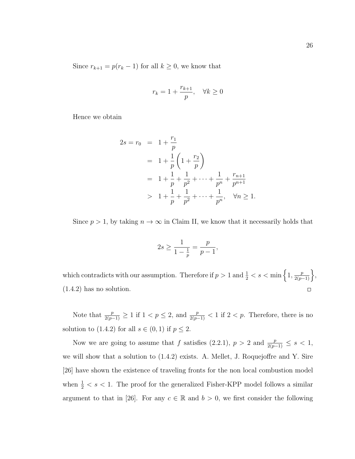Since  $r_{k+1} = p(r_k - 1)$  for all  $k \ge 0$ , we know that

$$
r_k = 1 + \frac{r_{k+1}}{p}, \quad \forall k \ge 0
$$

Hence we obtain

$$
2s = r_0 = 1 + \frac{r_1}{p}
$$
  
=  $1 + \frac{1}{p} \left( 1 + \frac{r_2}{p} \right)$   
=  $1 + \frac{1}{p} + \frac{1}{p^2} + \dots + \frac{1}{p^n} + \frac{r_{n+1}}{p^{n+1}}$   
>  $1 + \frac{1}{p} + \frac{1}{p^2} + \dots + \frac{1}{p^n}, \quad \forall n \ge 1.$ 

Since  $p > 1$ , by taking  $n \to \infty$  in Claim II, we know that it necessarily holds that

$$
2s \ge \frac{1}{1 - \frac{1}{p}} = \frac{p}{p - 1},
$$

which contradicts with our assumption. Therefore if  $p > 1$  and  $\frac{1}{2} < s < \min\left\{1, \frac{p}{2(p-1)}\right\}$ , (1.4.2) has no solution.  $\Box$ 

Note that  $\frac{p}{2(p-1)} \geq 1$  if  $1 < p \leq 2$ , and  $\frac{p}{2(p-1)} < 1$  if  $2 < p$ . Therefore, there is no solution to (1.4.2) for all  $s \in (0,1)$  if  $p \leq 2$ .

Now we are going to assume that f satisfies  $(2.2.1)$ ,  $p > 2$  and  $\frac{p}{2(p-1)} \leq s < 1$ , we will show that a solution to (1.4.2) exists. A. Mellet, J. Roquejoffre and Y. Sire [26] have shown the existence of traveling fronts for the non local combustion model when  $\frac{1}{2} < s < 1$ . The proof for the generalized Fisher-KPP model follows a similar argument to that in [26]. For any  $c \in \mathbb{R}$  and  $b > 0$ , we first consider the following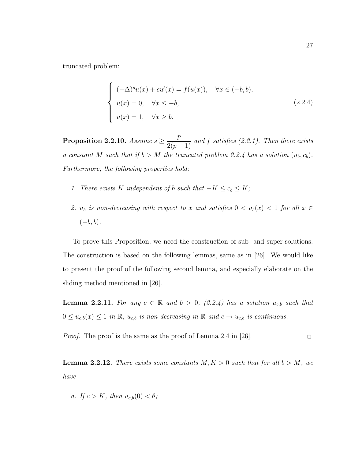truncated problem:

$$
\begin{cases}\n(-\Delta)^s u(x) + c u'(x) = f(u(x)), & \forall x \in (-b, b), \\
u(x) = 0, & \forall x \le -b, \\
u(x) = 1, & \forall x \ge b.\n\end{cases}
$$
\n(2.2.4)

Proposition 2.2.10. Assume  $s \geq \frac{p}{s}$  $\frac{P}{2(p-1)}$  and f satisfies (2.2.1). Then there exists a constant M such that if  $b > M$  the truncated problem 2.2.4 has a solution  $(u_b, c_b)$ . Furthermore, the following properties hold:

- 1. There exists K independent of b such that  $-K \leq c_b \leq K$ ;
- 2.  $u_b$  is non-decreasing with respect to x and satisfies  $0 < u_b(x) < 1$  for all  $x \in$  $(-b, b)$ .

To prove this Proposition, we need the construction of sub- and super-solutions. The construction is based on the following lemmas, same as in [26]. We would like to present the proof of the following second lemma, and especially elaborate on the sliding method mentioned in [26].

**Lemma 2.2.11.** For any  $c \in \mathbb{R}$  and  $b > 0$ , (2.2.4) has a solution  $u_{c,b}$  such that  $0 \leq u_{c,b}(x) \leq 1$  in  $\mathbb{R}$ ,  $u_{c,b}$  is non-decreasing in  $\mathbb{R}$  and  $c \to u_{c,b}$  is continuous.

Proof. The proof is the same as the proof of Lemma 2.4 in [26].  $\Box$ 

**Lemma 2.2.12.** There exists some constants  $M, K > 0$  such that for all  $b > M$ , we have

a. If  $c > K$ , then  $u_{c,b}(0) < \theta$ ;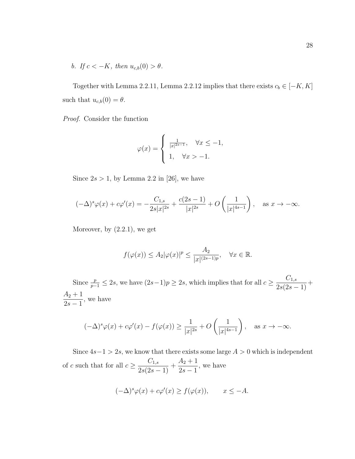b. If  $c < -K$ , then  $u_{c,b}(0) > \theta$ .

Together with Lemma 2.2.11, Lemma 2.2.12 implies that there exists  $c_b \in [-K, K]$ such that  $u_{c,b}(0) = \theta$ .

Proof. Consider the function

$$
\varphi(x) = \begin{cases} \frac{1}{|x|^{2s-1}}, & \forall x \le -1, \\ 1, & \forall x > -1. \end{cases}
$$

Since  $2s > 1$ , by Lemma 2.2 in [26], we have

$$
(-\Delta)^s \varphi(x) + c\varphi'(x) = -\frac{C_{1,s}}{2s|x|^{2s}} + \frac{c(2s-1)}{|x|^{2s}} + O\left(\frac{1}{|x|^{4s-1}}\right), \quad \text{as } x \to -\infty.
$$

Moreover, by  $(2.2.1)$ , we get

$$
f(\varphi(x)) \le A_2 |\varphi(x)|^p \le \frac{A_2}{|x|^{(2s-1)p}}, \quad \forall x \in \mathbb{R}.
$$

Since  $\frac{p}{p-1} \leq 2s$ , we have  $(2s-1)p \geq 2s$ , which implies that for all  $c \geq \frac{C_{1,s}}{2s(2s-1)}$  $\frac{0.5}{2s(2s-1)} +$  $A_2 + 1$  $2s-1$ , we have

$$
(-\Delta)^s \varphi(x) + c\varphi'(x) - f(\varphi(x)) \ge \frac{1}{|x|^{2s}} + O\left(\frac{1}{|x|^{4s-1}}\right), \quad \text{as } x \to -\infty.
$$

Since  $4s-1 > 2s$ , we know that there exists some large  $A > 0$  which is independent of c such that for all  $c \geq \frac{C_{1,s}}{2}$  $\frac{0.1, s}{2s(2s-1)}$  +  $A_2 + 1$  $2s-1$ , we have

$$
(-\Delta)^s \varphi(x) + c\varphi'(x) \ge f(\varphi(x)), \qquad x \le -A.
$$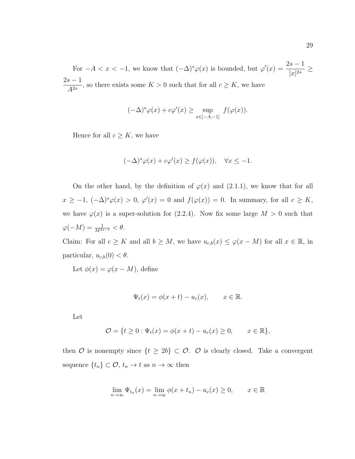For  $-A < x < -1$ , we know that  $(-\Delta)^s \varphi(x)$  is bounded, but  $\varphi'(x) = \frac{2s-1}{x^{1/2s}}$  $\frac{1}{|x|^{2s}} \ge$  $2s-1$  $A^{2s}$ , so there exists some  $K > 0$  such that for all  $c \geq K$ , we have

$$
(-\Delta)^s \varphi(x) + c\varphi'(x) \ge \sup_{x \in [-A, -1]} f(\varphi(x)).
$$

Hence for all  $c \geq K$ , we have

$$
(-\Delta)^s \varphi(x) + c\varphi'(x) \ge f(\varphi(x)), \quad \forall x \le -1.
$$

On the other hand, by the definition of  $\varphi(x)$  and  $(2.1.1)$ , we know that for all  $x \geq -1$ ,  $(-\Delta)^s \varphi(x) > 0$ ,  $\varphi'(x) = 0$  and  $f(\varphi(x)) = 0$ . In summary, for all  $c \geq K$ , we have  $\varphi(x)$  is a super-solution for (2.2.4). Now fix some large  $M > 0$  such that  $\varphi(-M) = \frac{1}{M^{2s-1}} < \theta.$ 

Claim: For all  $c \geq K$  and all  $b \geq M$ , we have  $u_{c,b}(x) \leq \varphi(x-M)$  for all  $x \in \mathbb{R}$ , in particular,  $u_{c,b}(0) < \theta$ .

Let  $\phi(x) = \varphi(x - M)$ , define

$$
\Psi_t(x) = \phi(x+t) - u_c(x), \qquad x \in \mathbb{R}.
$$

Let

$$
\mathcal{O} = \{ t \ge 0 : \Psi_t(x) = \phi(x + t) - u_c(x) \ge 0, \qquad x \in \mathbb{R} \},
$$

then  $\mathcal O$  is nonempty since  $\{t \geq 2b\} \subset \mathcal O$ .  $\mathcal O$  is clearly closed. Take a convergent sequence  $\{t_n\} \subset \mathcal{O}, t_n \to t \text{ as } n \to \infty \text{ then}$ 

$$
\lim_{n \to \infty} \Psi_{t_n}(x) = \lim_{n \to \infty} \phi(x + t_n) - u_c(x) \ge 0, \qquad x \in \mathbb{R}
$$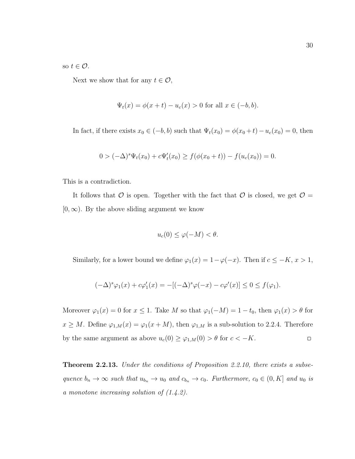so  $t \in \mathcal{O}$ .

Next we show that for any  $t \in \mathcal{O}$ ,

$$
\Psi_t(x) = \phi(x+t) - u_c(x) > 0
$$
 for all  $x \in (-b, b)$ .

In fact, if there exists  $x_0 \in (-b, b)$  such that  $\Psi_t(x_0) = \phi(x_0 + t) - u_c(x_0) = 0$ , then

$$
0 > (-\Delta)^{s} \Psi_t(x_0) + c\Psi'_t(x_0) \ge f(\phi(x_0 + t)) - f(u_c(x_0)) = 0.
$$

This is a contradiction.

It follows that  $\mathcal O$  is open. Together with the fact that  $\mathcal O$  is closed, we get  $\mathcal O$  =  $[0, \infty)$ . By the above sliding argument we know

$$
u_c(0) \le \varphi(-M) < \theta.
$$

Similarly, for a lower bound we define  $\varphi_1(x) = 1 - \varphi(-x)$ . Then if  $c \leq -K, x > 1$ ,

$$
(-\Delta)^s \varphi_1(x) + c\varphi_1'(x) = -[(-\Delta)^s \varphi(-x) - c\varphi'(x)] \le 0 \le f(\varphi_1).
$$

Moreover  $\varphi_1(x) = 0$  for  $x \le 1$ . Take M so that  $\varphi_1(-M) = 1 - t_0$ , then  $\varphi_1(x) > \theta$  for  $x \geq M$ . Define  $\varphi_{1,M}(x) = \varphi_1(x+M)$ , then  $\varphi_{1,M}$  is a sub-solution to 2.2.4. Therefore by the same argument as above  $u_c(0) \ge \varphi_{1,M}(0) > \theta$  for  $c < -K$ .  $\Box$ 

**Theorem 2.2.13.** Under the conditions of Proposition 2.2.10, there exists a subsequence  $b_n \to \infty$  such that  $u_{b_n} \to u_0$  and  $c_{b_n} \to c_0$ . Furthermore,  $c_0 \in (0, K]$  and  $u_0$  is a monotone increasing solution of (1.4.2).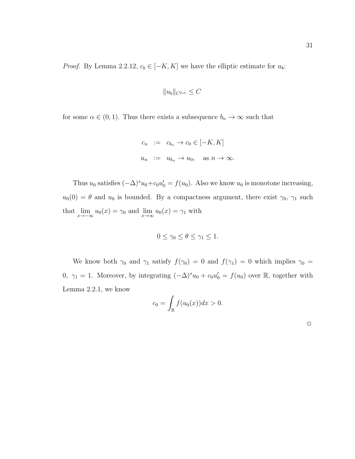*Proof.* By Lemma 2.2.12,  $c_b \in [-K, K]$  we have the elliptic estimate for  $u_b$ :

$$
||u_b||_{C^{2,\alpha}} \leq C
$$

for some  $\alpha \in (0,1)$ . Thus there exists a subsequence  $b_n \to \infty$  such that

$$
c_n := c_{b_n} \to c_0 \in [-K, K]
$$
  

$$
u_n := u_{b_n} \to u_0, \text{ as } n \to \infty.
$$

Thus  $u_0$  satisfies  $(-\Delta)^s u_0 + c_0 u'_0 = f(u_0)$ . Also we know  $u_0$  is monotone increasing,  $u_0(0) = \theta$  and  $u_0$  is bounded. By a compactness argument, there exist  $\gamma_0$ ,  $\gamma_1$  such that  $\lim_{x \to -\infty} u_0(x) = \gamma_0$  and  $\lim_{x \to \infty} u_0(x) = \gamma_1$  with

$$
0 \le \gamma_0 \le \theta \le \gamma_1 \le 1.
$$

We know both  $\gamma_0$  and  $\gamma_1$  satisfy  $f(\gamma_0) = 0$  and  $f(\gamma_1) = 0$  which implies  $\gamma_0 =$ 0,  $\gamma_1 = 1$ . Moreover, by integrating  $(-\Delta)^s u_0 + c_0 u'_0 = f(u_0)$  over R, together with Lemma 2.2.1, we know

$$
c_0 = \int_{\mathbb{R}} f(u_0(x)) dx > 0.
$$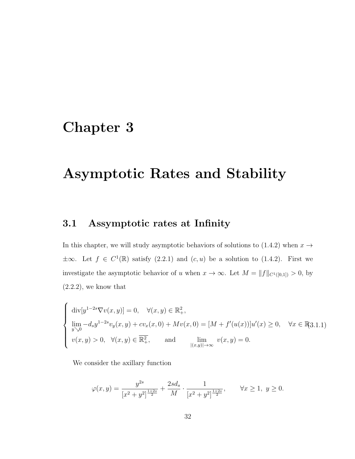## Chapter 3

## Asymptotic Rates and Stability

### 3.1 Assymptotic rates at Infinity

In this chapter, we will study asymptotic behaviors of solutions to (1.4.2) when  $x \rightarrow$  $\pm\infty$ . Let  $f \in C^1(\mathbb{R})$  satisfy  $(2.2.1)$  and  $(c, u)$  be a solution to  $(1.4.2)$ . First we investigate the asymptotic behavior of u when  $x \to \infty$ . Let  $M = ||f||_{C^1([0,1])} > 0$ , by  $(2.2.2)$ , we know that

$$
\begin{cases} \operatorname{div}[y^{1-2s}\nabla v(x,y)] = 0, & \forall (x,y) \in \mathbb{R}^2_+, \\ \lim_{y \searrow 0} -d_s y^{1-2s} v_y(x,y) + c v_x(x,0) + M v(x,0) = [M + f'(u(x))]u'(x) \ge 0, & \forall x \in \mathbb{R}^3, \\ v(x,y) > 0, & \forall (x,y) \in \overline{\mathbb{R}^2_+,} \quad \text{and} \quad \lim_{|(x,y)| \to \infty} v(x,y) = 0. \end{cases} \forall x \in \mathbb{R}^3, \forall x \in \mathbb{R}^3, \forall x \in \mathbb{R}^3 \forall x \in \mathbb{R}^3 \forall x \in \mathbb{R}^3.
$$

We consider the axillary function

$$
\varphi(x,y) = \frac{y^{2s}}{[x^2 + y^2]^{\frac{1+2s}{2}}} + \frac{2sd_s}{M} \cdot \frac{1}{[x^2 + y^2]^{\frac{1+2s}{2}}}, \qquad \forall x \ge 1, \ y \ge 0.
$$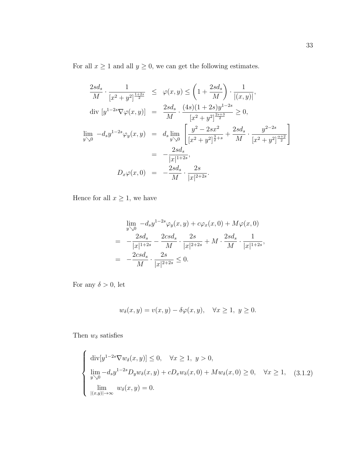For all  $x \ge 1$  and all  $y \ge 0$ , we can get the following estimates.

$$
\frac{2sd_s}{M} \cdot \frac{1}{[x^2 + y^2]^{\frac{1+2s}{2}}} \leq \varphi(x, y) \leq \left(1 + \frac{2sd_s}{M}\right) \cdot \frac{1}{|(x, y)|},
$$
  
\ndiv  $[y^{1-2s} \nabla \varphi(x, y)] = \frac{2sd_s}{M} \cdot \frac{(4s)(1 + 2s)y^{1-2s}}{[x^2 + y^2]^{\frac{2s+3}{2}}} \geq 0,$   
\n
$$
\lim_{y \searrow 0} -d_s y^{1-2s} \varphi_y(x, y) = d_s \lim_{y \searrow 0} \left[ \frac{y^2 - 2sx^2}{[x^2 + y^2]^{\frac{3}{2}+s}} + \frac{2sd_s}{M} \cdot \frac{y^{2-2s}}{[x^2 + y^2]^{\frac{\alpha+2}{2}}}\right]
$$
\n
$$
= -\frac{2sd_s}{|x|^{1+2s}},
$$
\n
$$
D_x \varphi(x, 0) = -\frac{2sd_s}{M} \cdot \frac{2s}{|x|^{2+2s}}.
$$

Hence for all  $x\geq 1,$  we have

$$
\lim_{y \searrow 0} -d_s y^{1-2s} \varphi_y(x, y) + c \varphi_x(x, 0) + M \varphi(x, 0)
$$
\n
$$
= -\frac{2sd_s}{|x|^{1+2s}} - \frac{2csd_s}{M} \cdot \frac{2s}{|x|^{2+2s}} + M \cdot \frac{2sd_s}{M} \cdot \frac{1}{|x|^{1+2s}},
$$
\n
$$
= -\frac{2csd_s}{M} \cdot \frac{2s}{|x|^{2+2s}} \le 0.
$$

For any  $\delta>0,$  let

$$
w_{\delta}(x, y) = v(x, y) - \delta \varphi(x, y), \quad \forall x \ge 1, \ y \ge 0.
$$

Then  $w_\delta$  satisfies

$$
\begin{cases}\n\operatorname{div}[y^{1-2s}\nabla w_{\delta}(x,y)] \leq 0, & \forall x \geq 1, y > 0, \\
\lim_{y \searrow 0} -d_{s}y^{1-2s}D_{y}w_{\delta}(x,y) + cD_{x}w_{\delta}(x,0) + Mw_{\delta}(x,0) \geq 0, & \forall x \geq 1, \quad (3.1.2) \\
\lim_{|(x,y)| \to \infty} w_{\delta}(x,y) = 0.\n\end{cases}
$$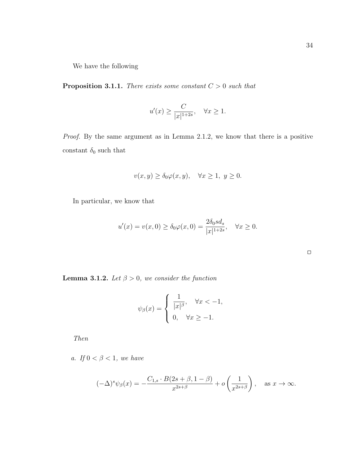We have the following

**Proposition 3.1.1.** There exists some constant  $C > 0$  such that

$$
u'(x) \ge \frac{C}{|x|^{1+2s}}, \quad \forall x \ge 1.
$$

Proof. By the same argument as in Lemma 2.1.2, we know that there is a positive constant  $\delta_0$  such that

$$
v(x, y) \ge \delta_0 \varphi(x, y), \quad \forall x \ge 1, \ y \ge 0.
$$

In particular, we know that

$$
u'(x) = v(x, 0) \ge \delta_0 \varphi(x, 0) = \frac{2\delta_0 s d_s}{|x|^{1+2s}}, \quad \forall x \ge 0.
$$

**Lemma 3.1.2.** Let  $\beta > 0$ , we consider the function

$$
\psi_{\beta}(x) = \begin{cases} \frac{1}{|x|^{\beta}}, & \forall x < -1, \\ 0, & \forall x \ge -1. \end{cases}
$$

Then

a. If  $0 < \beta < 1$ , we have

$$
(-\Delta)^s \psi_\beta(x) = -\frac{C_{1,s} \cdot B(2s+\beta, 1-\beta)}{x^{2s+\beta}} + o\left(\frac{1}{x^{2s+\beta}}\right), \quad \text{as } x \to \infty.
$$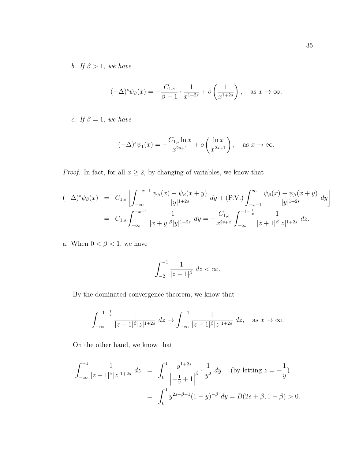b. If  $\beta > 1$ , we have

$$
(-\Delta)^s \psi_{\beta}(x) = -\frac{C_{1,s}}{\beta - 1} \cdot \frac{1}{x^{1+2s}} + o\left(\frac{1}{x^{1+2s}}\right), \text{ as } x \to \infty.
$$

c. If  $\beta = 1$ , we have

$$
(-\Delta)^s \psi_1(x) = -\frac{C_{1,s} \ln x}{x^{2s+1}} + o\left(\frac{\ln x}{x^{2s+1}}\right), \quad \text{as } x \to \infty.
$$

*Proof.* In fact, for all  $x \geq 2$ , by changing of variables, we know that

$$
(-\Delta)^s \psi_{\beta}(x) = C_{1,s} \left[ \int_{-\infty}^{-x-1} \frac{\psi_{\beta}(x) - \psi_{\beta}(x+y)}{|y|^{1+2s}} dy + (\text{P.V.}) \int_{-x-1}^{\infty} \frac{\psi_{\beta}(x) - \psi_{\beta}(x+y)}{|y|^{1+2s}} dy \right]
$$
  
=  $C_{1,s} \int_{-\infty}^{-x-1} \frac{-1}{|x+y|^{\beta}|y|^{1+2s}} dy = -\frac{C_{1,s}}{x^{2s+\beta}} \int_{-\infty}^{-1-\frac{1}{x}} \frac{1}{|z+1|^{\beta}|z|^{1+2s}} dz.$ 

a. When  $0<\beta<1,$  we have

$$
\int_{-2}^{-1} \frac{1}{|z+1|^{\beta}} \, dz < \infty.
$$

By the dominated convergence theorem, we know that

$$
\int_{-\infty}^{-1-\frac{1}{x}} \frac{1}{|z+1|^{\beta} |z|^{1+2s}} \ dz \to \int_{-\infty}^{-1} \frac{1}{|z+1|^{\beta} |z|^{1+2s}} \ dz, \text{ as } x \to \infty.
$$

On the other hand, we know that

$$
\int_{-\infty}^{-1} \frac{1}{|z+1|^{\beta} |z|^{1+2s}} dz = \int_{0}^{1} \frac{y^{1+2s}}{\left|-\frac{1}{y}+1\right|^{\beta}} \cdot \frac{1}{y^{2}} dy \quad \text{(by letting } z = -\frac{1}{y}\text{)}
$$

$$
= \int_{0}^{1} y^{2s+\beta-1} (1-y)^{-\beta} dy = B(2s+\beta, 1-\beta) > 0.
$$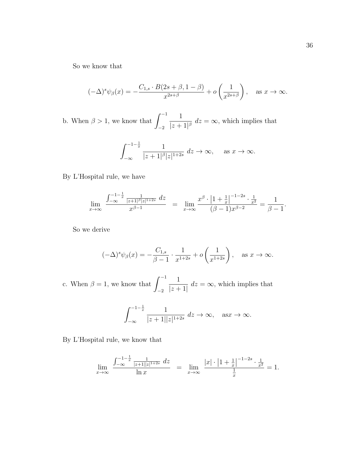So we know that

$$
(-\Delta)^s \psi_\beta(x) = -\frac{C_{1,s} \cdot B(2s+\beta, 1-\beta)}{x^{2s+\beta}} + o\left(\frac{1}{x^{2s+\beta}}\right), \quad \text{as } x \to \infty.
$$

b. When  $\beta > 1$ , we know that  $\int_{0}^{-1}$ −2 1  $\frac{1}{|z+1|^{\beta}}$   $dz = \infty$ , which implies that

$$
\int_{-\infty}^{-1-\frac{1}{x}} \frac{1}{|z+1|^{\beta}|z|^{1+2s}} dz \to \infty, \quad \text{as } x \to \infty.
$$

By L'Hospital rule, we have

$$
\lim_{x \to \infty} \frac{\int_{-\infty}^{-1 - \frac{1}{x}} \frac{1}{|z + 1|^{\beta} |z|^{1 + 2s}} dz}{x^{\beta - 1}} = \lim_{x \to \infty} \frac{x^{\beta} \cdot \left|1 + \frac{1}{x}\right|^{-1 - 2s} \cdot \frac{1}{x^2}}{(\beta - 1)x^{\beta - 2}} = \frac{1}{\beta - 1}.
$$

So we derive

$$
(-\Delta)^s \psi_\beta(x) = -\frac{C_{1,s}}{\beta - 1} \cdot \frac{1}{x^{1+2s}} + o\left(\frac{1}{x^{1+2s}}\right), \quad \text{as } x \to \infty.
$$

c. When  $\beta = 1$ , we know that  $\int_{0}^{-1}$ −2 1  $|z+1|$  $dz = \infty$ , which implies that

$$
\int_{-\infty}^{-1-\frac{1}{x}} \frac{1}{|z+1||z|^{1+2s}} dz \to \infty, \quad \text{as} \quad x \to \infty.
$$

By L'Hospital rule, we know that

$$
\lim_{x \to \infty} \frac{\int_{-\infty}^{-1 - \frac{1}{x}} \frac{1}{|z+1||z|^{1+2s}} dz}{\ln x} = \lim_{x \to \infty} \frac{|x| \cdot \left|1 + \frac{1}{x}\right|^{-1-2s} \cdot \frac{1}{x^2}}{\frac{1}{x}} = 1.
$$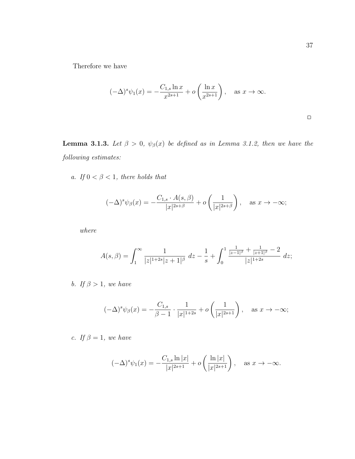Therefore we have

$$
(-\Delta)^s \psi_1(x) = -\frac{C_{1,s} \ln x}{x^{2s+1}} + o\left(\frac{\ln x}{x^{2s+1}}\right), \quad \text{as } x \to \infty.
$$

**Lemma 3.1.3.** Let  $\beta > 0$ ,  $\psi_{\beta}(x)$  be defined as in Lemma 3.1.2, then we have the following estimates:

a. If  $0 < \beta < 1$ , there holds that

$$
(-\Delta)^s \psi_{\beta}(x) = -\frac{C_{1,s} \cdot A(s,\beta)}{|x|^{2s+\beta}} + o\left(\frac{1}{|x|^{2s+\beta}}\right), \quad \text{as } x \to -\infty;
$$

where

$$
A(s,\beta) = \int_1^{\infty} \frac{1}{|z|^{1+2s}|z+1|^{\beta}} dz - \frac{1}{s} + \int_0^1 \frac{\frac{1}{|z-1|^{\beta}} + \frac{1}{|z+1|^{\beta}} - 2}{|z|^{1+2s}} dz;
$$

b. If  $\beta > 1$ , we have

$$
(-\Delta)^s \psi_{\beta}(x) = -\frac{C_{1,s}}{\beta - 1} \cdot \frac{1}{|x|^{1+2s}} + o\left(\frac{1}{|x|^{2s+1}}\right), \text{ as } x \to -\infty;
$$

c. If  $\beta = 1$ , we have

$$
(-\Delta)^s \psi_1(x) = -\frac{C_{1,s} \ln |x|}{|x|^{2s+1}} + o\left(\frac{\ln |x|}{|x|^{2s+1}}\right), \quad \text{as } x \to -\infty.
$$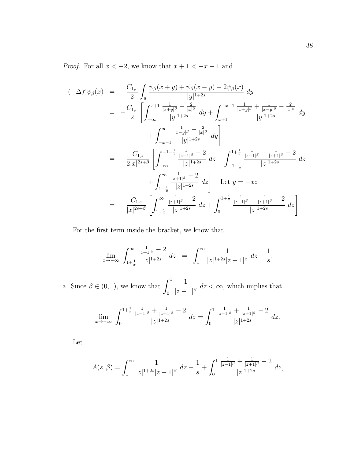*Proof.* For all  $x < -2$ , we know that  $x + 1 < -x - 1$  and

$$
(-\Delta)^{s} \psi_{\beta}(x) = -\frac{C_{1,s}}{2} \int_{\mathbb{R}} \frac{\psi_{\beta}(x+y) + \psi_{\beta}(x-y) - 2\psi_{\beta}(x)}{|y|^{1+2s}} dy
$$
  
\n
$$
= -\frac{C_{1,s}}{2} \left[ \int_{-\infty}^{x+1} \frac{\frac{1}{|x+y|^{\beta}} - \frac{2}{|x|^{\beta}}}{|y|^{1+2s}} dy + \int_{x+1}^{-x-1} \frac{\frac{1}{|x+y|^{\beta}} + \frac{1}{|x-y|^{\beta}} - \frac{2}{|x|^{\beta}}}{|y|^{1+2s}} dy \right]
$$
  
\n
$$
+ \int_{-x-1}^{\infty} \frac{\frac{1}{|x-y|^{\beta}} - \frac{2}{|x|^{\beta}}}{|y|^{1+2s}} dy \right]
$$
  
\n
$$
= -\frac{C_{1,s}}{2|x|^{2s+\beta}} \left[ \int_{-\infty}^{-1-\frac{1}{x}} \frac{\frac{1}{|z-1|^{\beta}} - 2}{|z|^{1+2s}} dz + \int_{-1-\frac{1}{x}}^{-1+\frac{1}{x}} \frac{\frac{1}{|z-1|^{\beta}} + \frac{1}{|z+1|^{\beta}} - 2}{|z|^{1+2s}} dz \right]
$$
  
\n
$$
+ \int_{1+\frac{1}{x}}^{\infty} \frac{\frac{1}{|z+1|^{\beta}} - 2}{|z|^{1+2s}} dz \right] \text{ Let } y = -xz
$$
  
\n
$$
= -\frac{C_{1,s}}{|x|^{2s+\beta}} \left[ \int_{1+\frac{1}{x}}^{\infty} \frac{\frac{1}{|z+1|^{\beta}} - 2}{|z|^{1+2s}} dz + \int_{0}^{1+\frac{1}{x}} \frac{\frac{1}{|z-1|^{\beta}} + \frac{1}{|z+1|^{\beta}} - 2}{|z|^{1+2s}} dz \right]
$$

For the first term inside the bracket, we know that

$$
\lim_{x \to -\infty} \int_{1 + \frac{1}{x}}^{\infty} \frac{\frac{1}{|z + 1|^{\beta}} - 2}{|z|^{1 + 2s}} dz = \int_{1}^{\infty} \frac{1}{|z|^{1 + 2s} |z + 1|^{\beta}} dz - \frac{1}{s}.
$$

a. Since  $\beta \in (0, 1)$ , we know that  $\int_1^1$ 0 1  $\frac{1}{|z-1|^{\beta}}$   $dz < \infty$ , which implies that

$$
\lim_{x \to -\infty} \int_0^{1 + \frac{1}{x}} \frac{\frac{1}{|z - 1|^{\beta}} + \frac{1}{|z + 1|^{\beta}} - 2}{|z|^{1 + 2s}} dz = \int_0^1 \frac{\frac{1}{|z - 1|^{\beta}} + \frac{1}{|z + 1|^{\beta}} - 2}{|z|^{1 + 2s}} dz.
$$

Let

$$
A(s,\beta) = \int_1^{\infty} \frac{1}{|z|^{1+2s}|z+1|^{\beta}} dz - \frac{1}{s} + \int_0^1 \frac{\frac{1}{|z-1|^{\beta}} + \frac{1}{|z+1|^{\beta}} - 2}{|z|^{1+2s}} dz,
$$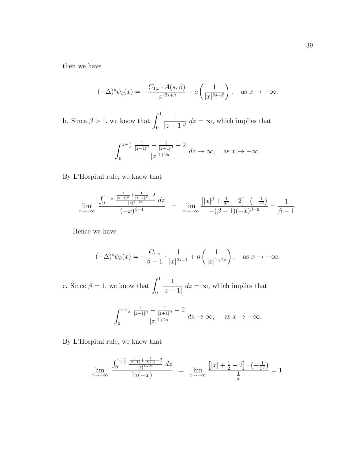then we have

$$
(-\Delta)^s \psi_\beta(x) = -\frac{C_{1,s} \cdot A(s,\beta)}{|x|^{2s+\beta}} + o\left(\frac{1}{|x|^{2s+\beta}}\right), \quad \text{as } x \to -\infty.
$$

b. Since  $\beta > 1$ , we know that  $\int_1^1$ 0 1  $\frac{1}{|z-1|^{\beta}}$  d $z=\infty$ , which implies that

$$
\int_0^{1+\frac{1}{x}} \frac{\frac{1}{|z-1|^{\beta}} + \frac{1}{|z+1|^{\beta}} - 2}{|z|^{1+2s}} dz \to \infty, \text{ as } x \to -\infty.
$$

#### By L'Hospital rule, we know that

$$
\lim_{x \to -\infty} \frac{\int_0^{1 + \frac{1}{x} \frac{1}{|z-1|^{\beta}} + \frac{1}{|z+1|^{\beta}} - 2} dz}{(-x)^{\beta - 1}} = \lim_{x \to -\infty} \frac{\left[|x|^{\beta} + \frac{1}{2^{\beta}} - 2\right] \cdot \left(-\frac{1}{x^2}\right)}{-(\beta - 1)(-x)^{\beta - 2}} = \frac{1}{\beta - 1}.
$$

Hence we have

$$
(-\Delta)^s \psi_{\beta}(x) = -\frac{C_{1,s}}{\beta - 1} \cdot \frac{1}{|x|^{2s+1}} + o\left(\frac{1}{|x|^{1+2s}}\right), \text{ as } x \to -\infty.
$$

c. Since  $\beta = 1$ , we know that  $\int_1^1$ 0 1  $|z-1|$  $dz = \infty$ , which implies that

$$
\int_0^{1+\frac{1}{x}} \frac{\frac{1}{|z-1|^\beta} + \frac{1}{|z+1|^\beta} - 2}{|z|^{1+2s}} dz \to \infty, \quad \text{as } x \to -\infty.
$$

By L'Hospital rule, we know that

$$
\lim_{x \to -\infty} \frac{\int_0^{1 + \frac{1}{x} \frac{1}{|z-1|} + \frac{1}{|z+1|} - 2} \, dz}{\ln(-x)} \;\; = \;\; \lim_{x \to -\infty} \frac{\left[ |x| + \frac{1}{2} - 2 \right] \cdot \left( -\frac{1}{x^2} \right)}{\frac{1}{x}} = 1.
$$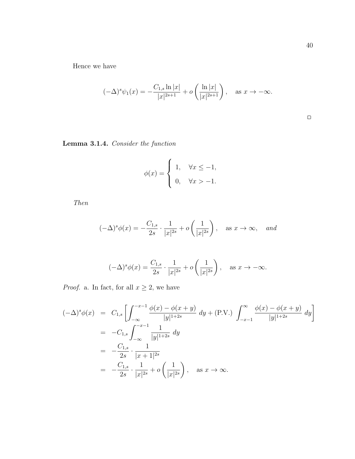Hence we have

$$
(-\Delta)^s \psi_1(x) = -\frac{C_{1,s} \ln |x|}{|x|^{2s+1}} + o\left(\frac{\ln |x|}{|x|^{2s+1}}\right), \text{ as } x \to -\infty.
$$

### Lemma 3.1.4. Consider the function

$$
\phi(x) = \begin{cases} 1, & \forall x \le -1, \\ 0, & \forall x > -1. \end{cases}
$$

Then

$$
(-\Delta)^s \phi(x) = -\frac{C_{1,s}}{2s} \cdot \frac{1}{|x|^{2s}} + o\left(\frac{1}{|x|^{2s}}\right), \quad \text{as } x \to \infty, \quad \text{and}
$$

$$
(-\Delta)^s \phi(x) = \frac{C_{1,s}}{2s} \cdot \frac{1}{|x|^{2s}} + o\left(\frac{1}{|x|^{2s}}\right), \quad \text{as } x \to -\infty.
$$

*Proof.* a. In fact, for all  $x \geq 2$ , we have

$$
(-\Delta)^{s} \phi(x) = C_{1,s} \left[ \int_{-\infty}^{-x-1} \frac{\phi(x) - \phi(x+y)}{|y|^{1+2s}} dy + (\text{P.V.}) \int_{-x-1}^{\infty} \frac{\phi(x) - \phi(x+y)}{|y|^{1+2s}} dy \right]
$$
  
=  $-C_{1,s} \int_{-\infty}^{-x-1} \frac{1}{|y|^{1+2s}} dy$   
=  $-\frac{C_{1,s}}{2s} \cdot \frac{1}{|x+1|^{2s}}$   
=  $-\frac{C_{1,s}}{2s} \cdot \frac{1}{|x|^{2s}} + o\left(\frac{1}{|x|^{2s}}\right), \text{ as } x \to \infty.$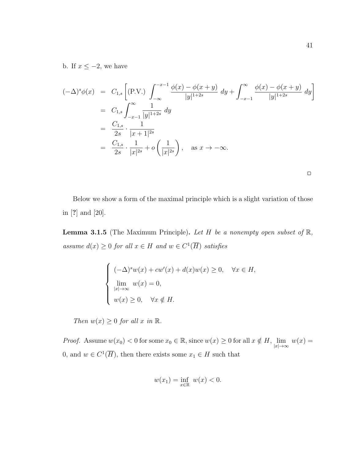b. If  $x \leq -2$ , we have

$$
(-\Delta)^s \phi(x) = C_{1,s} \left[ (\text{P.V.}) \int_{-\infty}^{-x-1} \frac{\phi(x) - \phi(x+y)}{|y|^{1+2s}} dy + \int_{-x-1}^{\infty} \frac{\phi(x) - \phi(x+y)}{|y|^{1+2s}} dy \right]
$$
  
=  $C_{1,s} \int_{-x-1}^{\infty} \frac{1}{|y|^{1+2s}} dy$   
=  $\frac{C_{1,s}}{2s} \cdot \frac{1}{|x+1|^{2s}}$   
=  $\frac{C_{1,s}}{2s} \cdot \frac{1}{|x|^{2s}} + o\left(\frac{1}{|x|^{2s}}\right), \text{ as } x \to -\infty.$ 

|  | ___ |  |
|--|-----|--|
|  |     |  |
|  |     |  |
|  |     |  |

Below we show a form of the maximal principle which is a slight variation of those in [?] and [20].

**Lemma 3.1.5** (The Maximum Principle). Let H be a nonempty open subset of  $\mathbb{R}$ , assume  $d(x) \geq 0$  for all  $x \in H$  and  $w \in C^1(\overline{H})$  satisfies

$$
\begin{cases}\n(-\Delta)^s w(x) + c w'(x) + d(x)w(x) \ge 0, & \forall x \in H, \\
\lim_{|x| \to \infty} w(x) = 0, & \\
w(x) \ge 0, & \forall x \notin H.\n\end{cases}
$$

Then  $w(x) \geq 0$  for all x in  $\mathbb{R}$ .

*Proof.* Assume  $w(x_0) < 0$  for some  $x_0 \in \mathbb{R}$ , since  $w(x) \ge 0$  for all  $x \notin H$ ,  $\lim_{|x| \to \infty} w(x) =$ 0, and  $w \in C^1(\overline{H})$ , then there exists some  $x_1 \in H$  such that

$$
w(x_1) = \inf_{x \in \mathbb{R}} w(x) < 0.
$$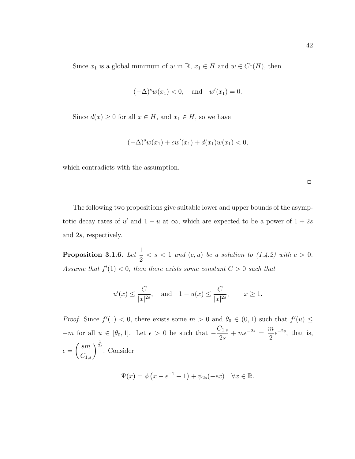Since  $x_1$  is a global minimum of w in  $\mathbb{R}, x_1 \in H$  and  $w \in C^1(H)$ , then

$$
(-\Delta)^s w(x_1) < 0
$$
, and  $w'(x_1) = 0$ .

Since  $d(x) \geq 0$  for all  $x \in H$ , and  $x_1 \in H$ , so we have

$$
(-\Delta)^{s} w(x_1) + cw'(x_1) + d(x_1)w(x_1) < 0,
$$

which contradicts with the assumption.

 $\Box$ 

The following two propositions give suitable lower and upper bounds of the asymptotic decay rates of u' and  $1 - u$  at  $\infty$ , which are expected to be a power of  $1 + 2s$ and 2s, respectively.

Proposition 3.1.6. Let  $\frac{1}{2}$ 2  $\langle s \rangle \langle s \rangle \langle s \rangle = \langle s \rangle$  and  $(c, u)$  be a solution to  $(1.4.2)$  with  $c > 0$ . Assume that  $f'(1) < 0$ , then there exists some constant  $C > 0$  such that

$$
u'(x) \le \frac{C}{|x|^{2s}},
$$
 and  $1 - u(x) \le \frac{C}{|x|^{2s}},$   $x \ge 1.$ 

*Proof.* Since  $f'(1) < 0$ , there exists some  $m > 0$  and  $\theta_0 \in (0,1)$  such that  $f'(u) \leq$  $-m$  for all  $u \in [\theta_0, 1]$ . Let  $\epsilon > 0$  be such that  $-\frac{C_{1,s}}{2s}$ 2s  $+ m\epsilon^{-2s} = \frac{m}{2}$ 2  $\epsilon^{-2s}$ , that is,  $\epsilon =$  $\left(\frac{sm}{C_{1,s}}\right)^{\frac{1}{2s}}$ . Consider

$$
\Psi(x) = \phi\left(x - \epsilon^{-1} - 1\right) + \psi_{2s}(-\epsilon x) \quad \forall x \in \mathbb{R}.
$$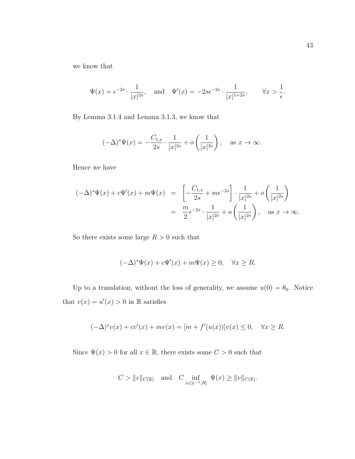we know that

$$
\Psi(x) = \epsilon^{-2s} \cdot \frac{1}{|x|^{2s}}, \quad \text{and} \quad \Psi'(x) = -2s\epsilon^{-2s} \cdot \frac{1}{|x|^{1+2s}}, \qquad \forall x > \frac{1}{\epsilon}.
$$

By Lemma 3.1.4 and Lemma 3.1.3, we know that

$$
(-\Delta)^s \Psi(x) = -\frac{C_{1,s}}{2s} \cdot \frac{1}{|x|^{2s}} + o\left(\frac{1}{|x|^{2s}}\right), \text{ as } x \to \infty.
$$

Hence we have

$$
(-\Delta)^s \Psi(x) + c\Psi'(x) + m\Psi(x) = \left[ -\frac{C_{1,s}}{2s} + m\epsilon^{-2s} \right] \cdot \frac{1}{|x|^{2s}} + o\left(\frac{1}{|x|^{2s}}\right)
$$
  
=  $\frac{m}{2} \epsilon^{-2s} \cdot \frac{1}{|x|^{2s}} + o\left(\frac{1}{|x|^{2s}}\right)$ , as  $x \to \infty$ .

So there exists some large  $R>0$  such that

$$
(-\Delta)^s \Psi(x) + c\Psi'(x) + m\Psi(x) \ge 0, \quad \forall x \ge R.
$$

Up to a translation, without the loss of generality, we assume  $u(0) = \theta_0$ . Notice that  $v(x) = u'(x) > 0$  in R satisfies

$$
(-\Delta)^s v(x) + cv'(x) + mv(x) = [m + f'(u(x))]v(x) \le 0, \quad \forall x \ge R.
$$

Since  $\Psi(x) > 0$  for all  $x \in \mathbb{R}$ , there exists some  $C > 0$  such that

$$
C > ||v||_{C(\mathbb{R})}
$$
 and  $C \inf_{x \in [\epsilon^{-1}, R]} \Psi(x) \ge ||v||_{C(\mathbb{R})}$ .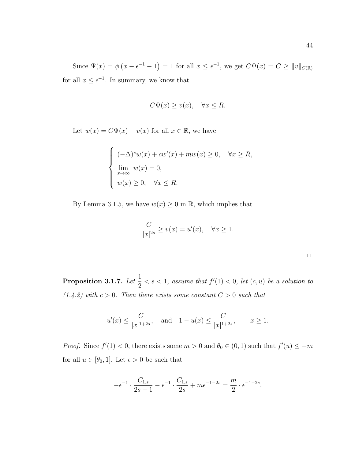Since  $\Psi(x) = \phi(x - \epsilon^{-1} - 1) = 1$  for all  $x \leq \epsilon^{-1}$ , we get  $C\Psi(x) = C \geq ||v||_{C(\mathbb{R})}$ for all  $x \leq \epsilon^{-1}$ . In summary, we know that

$$
C\Psi(x) \ge v(x), \quad \forall x \le R.
$$

Let  $w(x) = C\Psi(x) - v(x)$  for all  $x \in \mathbb{R}$ , we have

$$
\begin{cases}\n(-\Delta)^s w(x) + cw'(x) + mw(x) \ge 0, & \forall x \ge R, \\
\lim_{x \to \infty} w(x) = 0, & \forall x \le R.\n\end{cases}
$$

By Lemma 3.1.5, we have  $w(x) \geq 0$  in  $\mathbb{R}$ , which implies that

$$
\frac{C}{|x|^{2s}} \ge v(x) = u'(x), \quad \forall x \ge 1.
$$

Proposition 3.1.7. Let  $\frac{1}{2}$ 2  $\langle s \rangle \langle s \rangle = 1$ , assume that  $f'(1) \langle s \rangle$ , let  $(c, u)$  be a solution to  $(1.4.2)$  with  $c > 0$ . Then there exists some constant  $C > 0$  such that

$$
u'(x) \le \frac{C}{|x|^{1+2s}}
$$
, and  $1 - u(x) \le \frac{C}{|x|^{1+2s}}$ ,  $x \ge 1$ .

*Proof.* Since  $f'(1) < 0$ , there exists some  $m > 0$  and  $\theta_0 \in (0, 1)$  such that  $f'(u) \leq -m$ for all  $u \in [\theta_0, 1]$ . Let  $\epsilon > 0$  be such that

$$
-\epsilon^{-1} \cdot \frac{C_{1,s}}{2s-1} - \epsilon^{-1} \cdot \frac{C_{1,s}}{2s} + m\epsilon^{-1-2s} = \frac{m}{2} \cdot \epsilon^{-1-2s}.
$$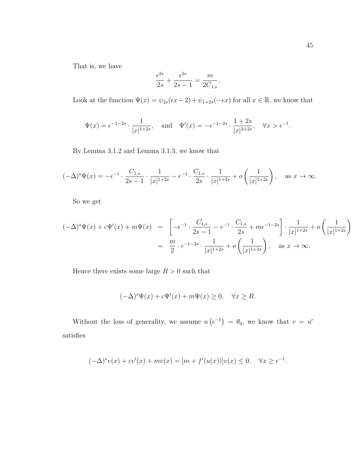That is, we have

$$
\frac{\epsilon^{2s}}{2s} + \frac{\epsilon^{2s}}{2s - 1} = \frac{m}{2C_{1,s}}.
$$

Look at the function  $\Psi(x) = \psi_{2s}(\epsilon x - 2) + \psi_{1+2s}(-\epsilon x)$  for all  $x \in \mathbb{R}$ , we know that

$$
\Psi(x) = \epsilon^{-1-2s} \cdot \frac{1}{|x|^{1+2s}},
$$
 and  $\Psi'(x) = -\epsilon^{-1-2s} \cdot \frac{1+2s}{|x|^{2+2s}},$   $\forall x > \epsilon^{-1}.$ 

By Lemma 3.1.2 and Lemma 3.1.3, we know that

$$
(-\Delta)^s \Psi(x) = -\epsilon^{-1} \cdot \frac{C_{1,s}}{2s-1} \cdot \frac{1}{|x|^{1+2s}} - \epsilon^{-1} \cdot \frac{C_{1,s}}{2s} \cdot \frac{1}{|x|^{1+2s}} + o\left(\frac{1}{|x|^{1+2s}}\right), \quad \text{as } x \to \infty.
$$

So we get

$$
(-\Delta)^s \Psi(x) + c\Psi'(x) + m\Psi(x) = \left[ -\epsilon^{-1} \cdot \frac{C_{1,s}}{2s - 1} - \epsilon^{-1} \cdot \frac{C_{1,s}}{2s} + m\epsilon^{-1-2s} \right] \cdot \frac{1}{|x|^{1+2s}} + o\left(\frac{1}{|x|^{1+2s}}\right)
$$
  
=  $\frac{m}{2} \cdot \epsilon^{-1-2s} \cdot \frac{1}{|x|^{1+2s}} + o\left(\frac{1}{|x|^{1+2s}}\right)$ , as  $x \to \infty$ .

Hence there exists some large  $R > 0$  such that

$$
(-\Delta)^s \Psi(x) + c\Psi'(x) + m\Psi(x) \ge 0, \quad \forall x \ge R.
$$

Without the loss of generality, we assume  $u\left(\epsilon^{-1}\right) = \theta_0$ , we know that  $v = u'$ satisfies

$$
(-\Delta)^s v(x) + cv'(x) + mv(x) = [m + f'(u(x))]v(x) \le 0, \quad \forall x \ge \epsilon^{-1}.
$$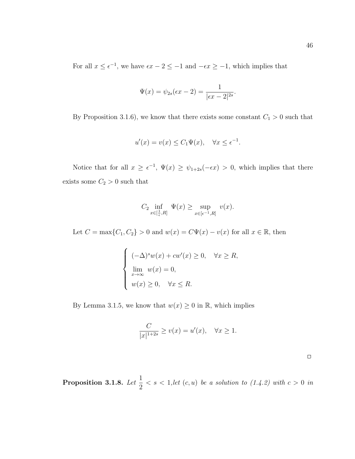For all  $x \leq \epsilon^{-1}$ , we have  $\epsilon x - 2 \leq -1$  and  $-\epsilon x \geq -1$ , which implies that

$$
\Psi(x) = \psi_{2s}(\epsilon x - 2) = \frac{1}{|\epsilon x - 2|^{2s}}.
$$

By Proposition 3.1.6), we know that there exists some constant  $C_1 > 0$  such that

$$
u'(x) = v(x) \le C_1 \Psi(x), \quad \forall x \le \epsilon^{-1}.
$$

Notice that for all  $x \geq \epsilon^{-1}$ ,  $\Psi(x) \geq \psi_{1+2s}(-\epsilon x) > 0$ , which implies that there exists some  $C_2 > 0$  such that

$$
C_2 \inf_{x \in [\frac{1}{\epsilon}, R]} \Psi(x) \ge \sup_{x \in [\epsilon^{-1}, R]} v(x).
$$

Let  $C = \max\{C_1, C_2\} > 0$  and  $w(x) = C\Psi(x) - v(x)$  for all  $x \in \mathbb{R}$ , then

$$
\begin{cases}\n(-\Delta)^s w(x) + cw'(x) \ge 0, & \forall x \ge R, \\
\lim_{x \to \infty} w(x) = 0, & \\
w(x) \ge 0, & \forall x \le R.\n\end{cases}
$$

By Lemma 3.1.5, we know that  $w(x) \geq 0$  in  $\mathbb{R}$ , which implies

$$
\frac{C}{|x|^{1+2s}} \ge v(x) = u'(x), \quad \forall x \ge 1.
$$

Proposition 3.1.8. Let  $\frac{1}{2}$ 2  $\langle s \rangle \langle s \rangle \langle s \rangle = 1$ , let  $(c, u)$  be a solution to  $(1.4.2)$  with  $c > 0$  in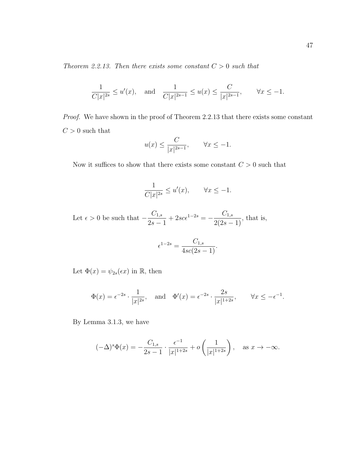Theorem 2.2.13. Then there exists some constant  $C > 0$  such that

$$
\frac{1}{C|x|^{2s}} \le u'(x), \quad \text{and} \quad \frac{1}{C|x|^{2s-1}} \le u(x) \le \frac{C}{|x|^{2s-1}}, \qquad \forall x \le -1.
$$

Proof. We have shown in the proof of Theorem 2.2.13 that there exists some constant  ${\cal C}>0$  such that  $\sim$ 

$$
u(x) \le \frac{C}{|x|^{2s-1}}, \qquad \forall x \le -1.
$$

Now it suffices to show that there exists some constant  $C > 0$  such that

$$
\frac{1}{C|x|^{2s}} \le u'(x), \qquad \forall x \le -1.
$$

Let  $\epsilon > 0$  be such that  $-\frac{C_{1,s}}{2}$  $2s-1$  $+ 2sc\epsilon^{1-2s} = -\frac{C_{1,s}}{2(2s)}$  $\frac{0.1, s}{2(2s-1)}$ , that is,

$$
\epsilon^{1-2s} = \frac{C_{1,s}}{4sc(2s-1)}.
$$

Let  $\Phi(x) = \psi_{2s}(\epsilon x)$  in  $\mathbb{R}$ , then

$$
\Phi(x) = \epsilon^{-2s} \cdot \frac{1}{|x|^{2s}}, \quad \text{and} \quad \Phi'(x) = \epsilon^{-2s} \cdot \frac{2s}{|x|^{1+2s}}, \qquad \forall x \le -\epsilon^{-1}.
$$

By Lemma 3.1.3, we have

$$
(-\Delta)^s \Phi(x) = -\frac{C_{1,s}}{2s - 1} \cdot \frac{\epsilon^{-1}}{|x|^{1+2s}} + o\left(\frac{1}{|x|^{1+2s}}\right), \text{ as } x \to -\infty.
$$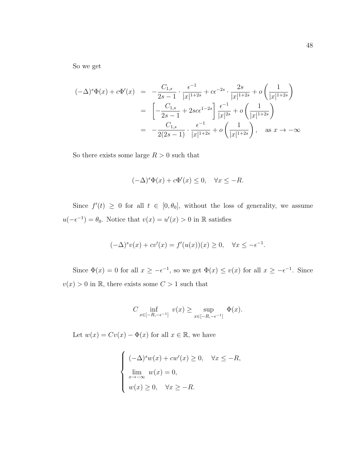So we get

$$
(-\Delta)^s \Phi(x) + c\Phi'(x) = -\frac{C_{1,s}}{2s - 1} \cdot \frac{\epsilon^{-1}}{|x|^{1+2s}} + c\epsilon^{-2s} \cdot \frac{2s}{|x|^{1+2s}} + o\left(\frac{1}{|x|^{1+2s}}\right)
$$
  

$$
= \left[-\frac{C_{1,s}}{2s - 1} + 2sc\epsilon^{1-2s}\right] \frac{\epsilon^{-1}}{|x|^{2s}} + o\left(\frac{1}{|x|^{1+2s}}\right)
$$
  

$$
= -\frac{C_{1,s}}{2(2s - 1)} \cdot \frac{\epsilon^{-1}}{|x|^{1+2s}} + o\left(\frac{1}{|x|^{1+2s}}\right), \text{ as } x \to -\infty
$$

So there exists some large  $R > 0$  such that

$$
(-\Delta)^s \Phi(x) + c\Phi'(x) \le 0, \quad \forall x \le -R.
$$

Since  $f'(t) \geq 0$  for all  $t \in [0, \theta_0]$ , without the loss of generality, we assume  $u(-\epsilon^{-1}) = \theta_0$ . Notice that  $v(x) = u'(x) > 0$  in R satisfies

$$
(-\Delta)^s v(x) + c v'(x) = f'(u(x))(x) \ge 0, \quad \forall x \le -\epsilon^{-1}.
$$

Since  $\Phi(x) = 0$  for all  $x \ge -\epsilon^{-1}$ , so we get  $\Phi(x) \le v(x)$  for all  $x \ge -\epsilon^{-1}$ . Since  $v(x) > 0$  in  $\mathbb R,$  there exists some  $C > 1$  such that

$$
C \inf_{x \in [-R, -\epsilon^{-1}]} v(x) \ge \sup_{x \in [-R, -\epsilon^{-1}]} \Phi(x).
$$

Let  $w(x) = Cv(x) - \Phi(x)$  for all  $x \in \mathbb{R}$ , we have

$$
\begin{cases}\n(-\Delta)^s w(x) + cw'(x) \ge 0, & \forall x \le -R, \\
\lim_{x \to -\infty} w(x) = 0, & \\
w(x) \ge 0, & \forall x \ge -R.\n\end{cases}
$$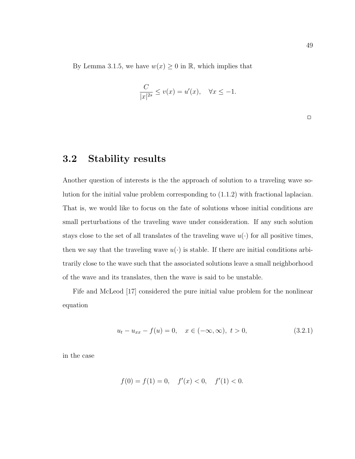By Lemma 3.1.5, we have  $w(x) \geq 0$  in  $\mathbb{R}$ , which implies that

$$
\frac{C}{|x|^{2s}} \le v(x) = u'(x), \quad \forall x \le -1.
$$

 $\Box$ 

### 3.2 Stability results

Another question of interests is the the approach of solution to a traveling wave solution for the initial value problem corresponding to (1.1.2) with fractional laplacian. That is, we would like to focus on the fate of solutions whose initial conditions are small perturbations of the traveling wave under consideration. If any such solution stays close to the set of all translates of the traveling wave  $u(\cdot)$  for all positive times, then we say that the traveling wave  $u(\cdot)$  is stable. If there are initial conditions arbitrarily close to the wave such that the associated solutions leave a small neighborhood of the wave and its translates, then the wave is said to be unstable.

Fife and McLeod [17] considered the pure initial value problem for the nonlinear equation

$$
u_t - u_{xx} - f(u) = 0, \quad x \in (-\infty, \infty), \ t > 0,
$$
\n(3.2.1)

in the case

$$
f(0) = f(1) = 0, \quad f'(x) < 0, \quad f'(1) < 0.
$$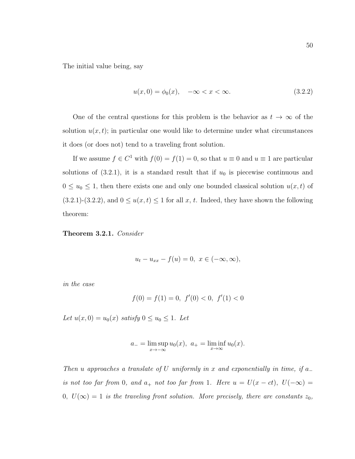The initial value being, say

$$
u(x,0) = \phi_0(x), \quad -\infty < x < \infty. \tag{3.2.2}
$$

One of the central questions for this problem is the behavior as  $t \to \infty$  of the solution  $u(x, t)$ ; in particular one would like to determine under what circumstances it does (or does not) tend to a traveling front solution.

If we assume  $f \in C^1$  with  $f(0) = f(1) = 0$ , so that  $u \equiv 0$  and  $u \equiv 1$  are particular solutions of  $(3.2.1)$ , it is a standard result that if  $u_0$  is piecewise continuous and  $0 \le u_0 \le 1$ , then there exists one and only one bounded classical solution  $u(x, t)$  of (3.2.1)-(3.2.2), and  $0 \le u(x, t) \le 1$  for all  $x, t$ . Indeed, they have shown the following theorem:

Theorem 3.2.1. Consider

$$
u_t - u_{xx} - f(u) = 0, \ x \in (-\infty, \infty),
$$

in the case

$$
f(0) = f(1) = 0, \ f'(0) < 0, \ f'(1) < 0
$$

Let  $u(x, 0) = u_0(x)$  satisfy  $0 \le u_0 \le 1$ . Let

$$
a_{-} = \limsup_{x \to -\infty} u_0(x), \ a_{+} = \liminf_{x \to \infty} u_0(x).
$$

Then u approaches a translate of U uniformly in x and exponentially in time, if  $a_$ is not too far from 0, and  $a_+$  not too far from 1. Here  $u = U(x - ct)$ ,  $U(-\infty) =$ 0,  $U(\infty) = 1$  is the traveling front solution. More precisely, there are constants  $z_0$ ,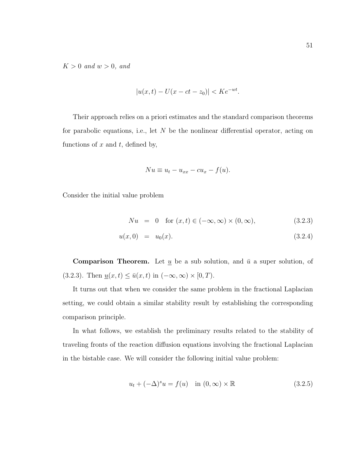$K > 0$  and  $w > 0$ , and

$$
|u(x,t) - U(x - ct - z_0)| < Ke^{-wt}.
$$

Their approach relies on a priori estimates and the standard comparison theorems for parabolic equations, i.e., let  $N$  be the nonlinear differential operator, acting on functions of  $x$  and  $t$ , defined by,

$$
Nu \equiv u_t - u_{xx} - cu_x - f(u).
$$

Consider the initial value problem

$$
Nu = 0 \quad \text{for } (x, t) \in (-\infty, \infty) \times (0, \infty), \tag{3.2.3}
$$

$$
u(x,0) = u_0(x). \t\t(3.2.4)
$$

**Comparison Theorem.** Let  $\underline{u}$  be a sub solution, and  $\overline{u}$  a super solution, of (3.2.3). Then  $\underline{u}(x,t) \leq \overline{u}(x,t)$  in  $(-\infty,\infty) \times [0,T)$ .

It turns out that when we consider the same problem in the fractional Laplacian setting, we could obtain a similar stability result by establishing the corresponding comparison principle.

In what follows, we establish the preliminary results related to the stability of traveling fronts of the reaction diffusion equations involving the fractional Laplacian in the bistable case. We will consider the following initial value problem:

$$
u_t + (-\Delta)^s u = f(u) \quad \text{in } (0, \infty) \times \mathbb{R} \tag{3.2.5}
$$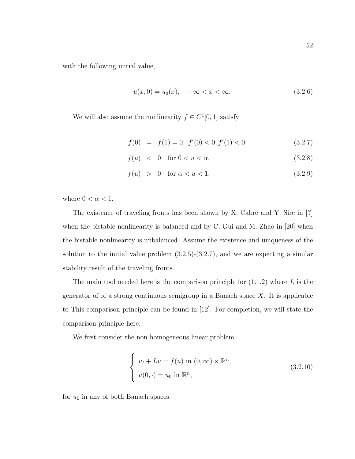with the following initial value,

$$
u(x,0) = u_0(x), \quad -\infty < x < \infty. \tag{3.2.6}
$$

We will also assume the nonlinearity  $f \in C^1[0, 1]$  satisfy

$$
f(0) = f(1) = 0, f'(0) < 0, f'(1) < 0,
$$
\n(3.2.7)

$$
f(u) < 0 \quad \text{for } 0 < u < \alpha,\tag{3.2.8}
$$

$$
f(u) > 0 \quad \text{for } \alpha < u < 1,\tag{3.2.9}
$$

where  $0 < \alpha < 1$ .

The existence of traveling fronts has been shown by X. Cabre and Y. Sire in [?] when the bistable nonlinearity is balanced and by C. Gui and M. Zhao in [20] when the bistable nonlinearity is unbalanced. Assume the existence and uniqueness of the solution to the initial value problem  $(3.2.5)-(3.2.7)$ , and we are expecting a similar stability result of the traveling fronts.

The main tool needed here is the comparison principle for  $(1.1.2)$  where L is the generator of of a strong continuous semigroup in a Banach space  $X$ . It is applicable to This comparison principle can be found in [12]. For completion, we will state the comparison principle here.

We first consider the non homogeneous linear problem

$$
\begin{cases}\n u_t + Lu = f(u) \text{ in } (0, \infty) \times \mathbb{R}^n, \\
 u(0, \cdot) = u_0 \text{ in } \mathbb{R}^n,\n\end{cases}
$$
\n(3.2.10)

for  $u_0$  in any of both Banach spaces.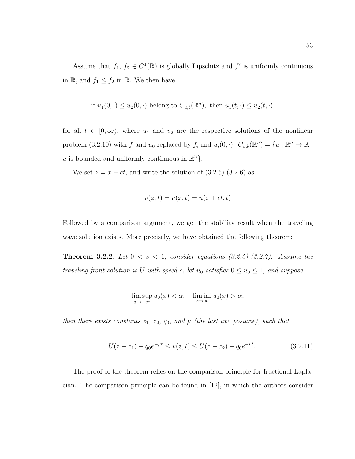Assume that  $f_1, f_2 \in C^1(\mathbb{R})$  is globally Lipschitz and  $f'$  is uniformly continuous in  $\mathbb{R}$ , and  $f_1 \leq f_2$  in  $\mathbb{R}$ . We then have

if 
$$
u_1(0, \cdot) \leq u_2(0, \cdot)
$$
 belong to  $C_{u,b}(\mathbb{R}^n)$ , then  $u_1(t, \cdot) \leq u_2(t, \cdot)$ 

for all  $t \in [0,\infty)$ , where  $u_1$  and  $u_2$  are the respective solutions of the nonlinear problem (3.2.10) with f and  $u_0$  replaced by  $f_i$  and  $u_i(0, \cdot)$ .  $C_{u,b}(\mathbb{R}^n) = \{u : \mathbb{R}^n \to \mathbb{R} :$ u is bounded and uniformly continuous in  $\mathbb{R}^n$ .

We set  $z = x - ct$ , and write the solution of  $(3.2.5)-(3.2.6)$  as

$$
v(z,t) = u(x,t) = u(z+ct, t)
$$

Followed by a comparison argument, we get the stability result when the traveling wave solution exists. More precisely, we have obtained the following theorem:

**Theorem 3.2.2.** Let  $0 < s < 1$ , consider equations (3.2.5)-(3.2.7). Assume the traveling front solution is U with speed c, let  $u_0$  satisfies  $0 \le u_0 \le 1$ , and suppose

$$
\limsup_{x \to -\infty} u_0(x) < \alpha, \quad \liminf_{x \to \infty} u_0(x) > \alpha,
$$

then there exists constants  $z_1$ ,  $z_2$ ,  $q_0$ , and  $\mu$  (the last two positive), such that

$$
U(z - z1) - q0e- $\mu t$  \le v(z, t) \le U(z - z<sub>2</sub>) + q<sub>0</sub>e<sup>- $\mu t$</sup> . (3.2.11)
$$

The proof of the theorem relies on the comparison principle for fractional Laplacian. The comparison principle can be found in [12], in which the authors consider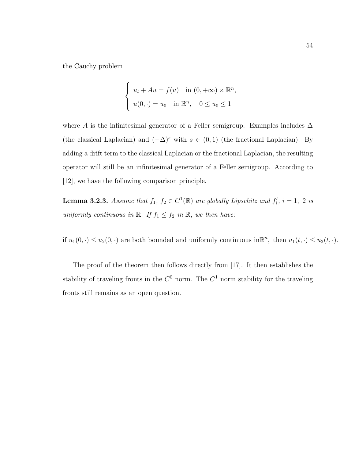the Cauchy problem

$$
\begin{cases}\n u_t + Au = f(u) & \text{in } (0, +\infty) \times \mathbb{R}^n, \\
 u(0, \cdot) = u_0 & \text{in } \mathbb{R}^n, \quad 0 \le u_0 \le 1\n\end{cases}
$$

where A is the infinitesimal generator of a Feller semigroup. Examples includes  $\Delta$ (the classical Laplacian) and  $(-\Delta)^s$  with  $s \in (0,1)$  (the fractional Laplacian). By adding a drift term to the classical Laplacian or the fractional Laplacian, the resulting operator will still be an infinitesimal generator of a Feller semigroup. According to [12], we have the following comparison principle.

**Lemma 3.2.3.** Assume that  $f_1, f_2 \in C^1(\mathbb{R})$  are globally Lipschitz and  $f'_i, i = 1, 2$  is uniformly continuous in  $\mathbb{R}$ . If  $f_1 \leq f_2$  in  $\mathbb{R}$ , we then have:

if  $u_1(0, \cdot) \le u_2(0, \cdot)$  are both bounded and uniformly continuous in  $\mathbb{R}^n$ , then  $u_1(t, \cdot) \le u_2(t, \cdot)$ .

The proof of the theorem then follows directly from [17]. It then establishes the stability of traveling fronts in the  $C^0$  norm. The  $C^1$  norm stability for the traveling fronts still remains as an open question.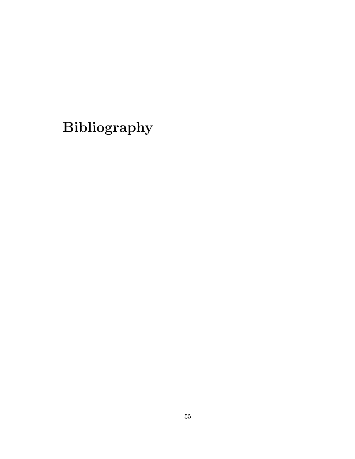# Bibliography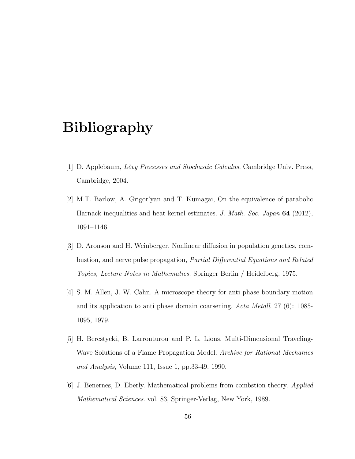## Bibliography

- [1] D. Applebaum, Lévy Processes and Stochastic Calculus. Cambridge Univ. Press, Cambridge, 2004.
- [2] M.T. Barlow, A. Grigor'yan and T. Kumagai, On the equivalence of parabolic Harnack inequalities and heat kernel estimates. J. Math. Soc. Japan 64 (2012), 1091–1146.
- [3] D. Aronson and H. Weinberger. Nonlinear diffusion in population genetics, combustion, and nerve pulse propagation, Partial Differential Equations and Related Topics, Lecture Notes in Mathematics. Springer Berlin / Heidelberg. 1975.
- [4] S. M. Allen, J. W. Cahn. A microscope theory for anti phase boundary motion and its application to anti phase domain coarsening. Acta Metall. 27 (6): 1085- 1095, 1979.
- [5] H. Berestycki, B. Larrouturou and P. L. Lions. Multi-Dimensional Traveling-Wave Solutions of a Flame Propagation Model. Archive for Rational Mechanics and Analysis, Volume 111, Issue 1, pp.33-49. 1990.
- [6] J. Benernes, D. Eberly. Mathematical problems from combstion theory. Applied Mathematical Sciences. vol. 83, Springer-Verlag, New York, 1989.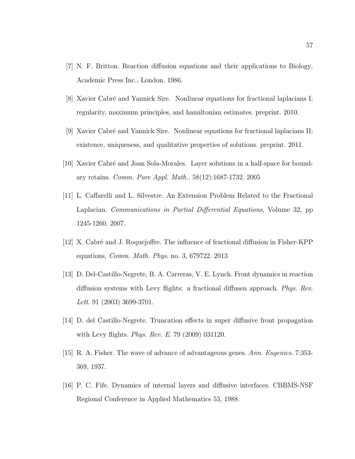- [7] N. F. Britton. Reaction diffusion equations and their applications to Biology. Academic Press Inc., London. 1986.
- [8] Xavier Cabré and Yannick Sire. Nonlinear equations for fractional laplacians I: regularity, maximum principles, and hamiltonian estimates. preprint. 2010.
- [9] Xavier Cabr´e and Yannick Sire. Nonlinear equations for fractional laplacians II: existence, uniqueness, and qualitative properties of solutions. preprint. 2011.
- [10] Xavier Cabr´e and Joan Sola-Morales. Layer solutions in a half-space for boundary retains. Comm. Pure Appl. Math.. 58(12):1687-1732. 2005
- [11] L. Caffarelli and L. Silvestre. An Extension Problem Related to the Fractional Laplacian. Communications in Partial Differential Equations, Volume 32, pp. 1245-1260. 2007.
- [12] X. Cabr´e and J. Roquejoffre. The influence of fractional diffusion in Fisher-KPP equations, Comm. Math. Phys. no. 3, 679722. 2013
- [13] D. Del-Castillo-Negrete, B. A. Carreras, V. E. Lynch. Front dynamics in reaction diffusion systems with Levy flights: a fractional diffusen approach. Phys. Rev. Lett. 91 (2003) 3699-3701.
- [14] D. del Castillo-Negrete. Truncation effects in super diffusive front propagation with Levy flights. *Phys. Rev. E.* 79 (2009) 031120.
- [15] R. A. Fisher. The wave of advance of advantageous genes. Ann. Eugenics. 7:353- 369, 1937.
- [16] P. C. Fife. Dynamics of internal layers and diffusive interfaces. CBBMS-NSF Regional Conference in Applied Mathematics 53, 1988.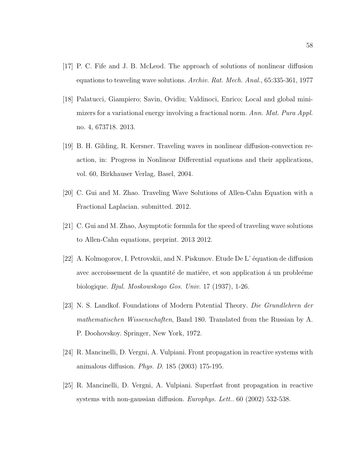- [17] P. C. Fife and J. B. McLeod. The approach of solutions of nonlinear diffusion equations to teaveling wave solutions. Archiv. Rat. Mech. Anal., 65:335-361, 1977
- [18] Palatucci, Giampiero; Savin, Ovidiu; Valdinoci, Enrico; Local and global minimizers for a variational energy involving a fractional norm. Ann. Mat. Pura Appl. no. 4, 673718. 2013.
- [19] B. H. Gilding, R. Kersner. Traveling waves in nonlinear diffusion-convection reaction, in: Progress in Nonlinear Differential equations and their applications, vol. 60, Birkhauser Verlag, Basel, 2004.
- [20] C. Gui and M. Zhao. Traveling Wave Solutions of Allen-Cahn Equation with a Fractional Laplacian. submitted. 2012.
- [21] C. Gui and M. Zhao, Asymptotic formula for the speed of traveling wave solutions to Allen-Cahn equations, preprint. 2013 2012.
- [22] A. Kolmogorov, I. Petrovskii, and N. Piskunov. Etude De L' équation de diffusion avec accroissement de la quantité de matière, et son application à un proble $\acute{e}$ eme biologique. Bjul. Moskowskogo Gos. Univ. 17 (1937), 1-26.
- [23] N. S. Landkof. Foundations of Modern Potential Theory. Die Grundlehren der mathematischen Wissenschaften, Band 180. Translated from the Russian by A. P. Doohovskoy. Springer, New York, 1972.
- [24] R. Mancinelli, D. Vergni, A. Vulpiani. Front propagation in reactive systems with animalous diffusion. Phys. D. 185 (2003) 175-195.
- [25] R. Mancinelli, D. Vergni, A. Vulpiani. Superfast front propagation in reactive systems with non-gaussian diffusion. Europhys. Lett.. 60 (2002) 532-538.